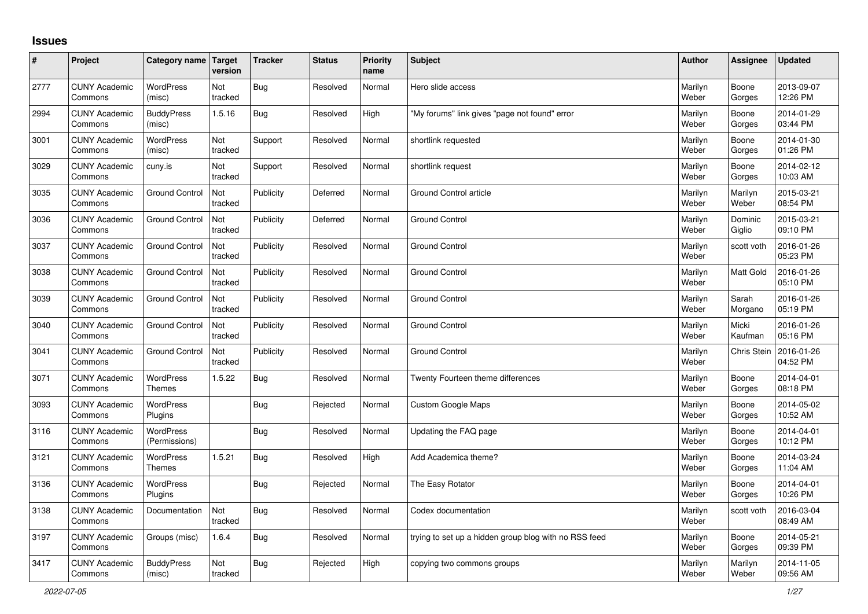## **Issues**

| #    | Project                         | Category name Target              | version        | <b>Tracker</b> | <b>Status</b> | <b>Priority</b><br>name | <b>Subject</b>                                        | <b>Author</b>    | Assignee           | <b>Updated</b>         |
|------|---------------------------------|-----------------------------------|----------------|----------------|---------------|-------------------------|-------------------------------------------------------|------------------|--------------------|------------------------|
| 2777 | <b>CUNY Academic</b><br>Commons | <b>WordPress</b><br>(misc)        | Not<br>tracked | Bug            | Resolved      | Normal                  | Hero slide access                                     | Marilyn<br>Weber | Boone<br>Gorges    | 2013-09-07<br>12:26 PM |
| 2994 | <b>CUNY Academic</b><br>Commons | <b>BuddyPress</b><br>(misc)       | 1.5.16         | Bug            | Resolved      | High                    | 'My forums" link gives "page not found" error         | Marilyn<br>Weber | Boone<br>Gorges    | 2014-01-29<br>03:44 PM |
| 3001 | <b>CUNY Academic</b><br>Commons | <b>WordPress</b><br>(misc)        | Not<br>tracked | Support        | Resolved      | Normal                  | shortlink requested                                   | Marilyn<br>Weber | Boone<br>Gorges    | 2014-01-30<br>01:26 PM |
| 3029 | <b>CUNY Academic</b><br>Commons | cuny.is                           | Not<br>tracked | Support        | Resolved      | Normal                  | shortlink request                                     | Marilyn<br>Weber | Boone<br>Gorges    | 2014-02-12<br>10:03 AM |
| 3035 | <b>CUNY Academic</b><br>Commons | <b>Ground Control</b>             | Not<br>tracked | Publicity      | Deferred      | Normal                  | Ground Control article                                | Marilyn<br>Weber | Marilyn<br>Weber   | 2015-03-21<br>08:54 PM |
| 3036 | <b>CUNY Academic</b><br>Commons | <b>Ground Control</b>             | Not<br>tracked | Publicity      | Deferred      | Normal                  | <b>Ground Control</b>                                 | Marilyn<br>Weber | Dominic<br>Giglio  | 2015-03-21<br>09:10 PM |
| 3037 | <b>CUNY Academic</b><br>Commons | <b>Ground Control</b>             | Not<br>tracked | Publicity      | Resolved      | Normal                  | Ground Control                                        | Marilyn<br>Weber | scott voth         | 2016-01-26<br>05:23 PM |
| 3038 | <b>CUNY Academic</b><br>Commons | <b>Ground Control</b>             | Not<br>tracked | Publicity      | Resolved      | Normal                  | Ground Control                                        | Marilyn<br>Weber | Matt Gold          | 2016-01-26<br>05:10 PM |
| 3039 | <b>CUNY Academic</b><br>Commons | <b>Ground Control</b>             | Not<br>tracked | Publicity      | Resolved      | Normal                  | <b>Ground Control</b>                                 | Marilyn<br>Weber | Sarah<br>Morgano   | 2016-01-26<br>05:19 PM |
| 3040 | <b>CUNY Academic</b><br>Commons | <b>Ground Control</b>             | Not<br>tracked | Publicity      | Resolved      | Normal                  | <b>Ground Control</b>                                 | Marilyn<br>Weber | Micki<br>Kaufman   | 2016-01-26<br>05:16 PM |
| 3041 | <b>CUNY Academic</b><br>Commons | <b>Ground Control</b>             | Not<br>tracked | Publicity      | Resolved      | Normal                  | Ground Control                                        | Marilyn<br>Weber | <b>Chris Stein</b> | 2016-01-26<br>04:52 PM |
| 3071 | <b>CUNY Academic</b><br>Commons | WordPress<br><b>Themes</b>        | 1.5.22         | <b>Bug</b>     | Resolved      | Normal                  | Twenty Fourteen theme differences                     | Marilyn<br>Weber | Boone<br>Gorges    | 2014-04-01<br>08:18 PM |
| 3093 | <b>CUNY Academic</b><br>Commons | <b>WordPress</b><br>Plugins       |                | Bug            | Rejected      | Normal                  | Custom Google Maps                                    | Marilyn<br>Weber | Boone<br>Gorges    | 2014-05-02<br>10:52 AM |
| 3116 | <b>CUNY Academic</b><br>Commons | <b>WordPress</b><br>(Permissions) |                | Bug            | Resolved      | Normal                  | Updating the FAQ page                                 | Marilyn<br>Weber | Boone<br>Gorges    | 2014-04-01<br>10:12 PM |
| 3121 | <b>CUNY Academic</b><br>Commons | <b>WordPress</b><br><b>Themes</b> | 1.5.21         | <b>Bug</b>     | Resolved      | High                    | Add Academica theme?                                  | Marilyn<br>Weber | Boone<br>Gorges    | 2014-03-24<br>11:04 AM |
| 3136 | <b>CUNY Academic</b><br>Commons | WordPress<br><b>Plugins</b>       |                | Bug            | Rejected      | Normal                  | The Easy Rotator                                      | Marilyn<br>Weber | Boone<br>Gorges    | 2014-04-01<br>10:26 PM |
| 3138 | <b>CUNY Academic</b><br>Commons | Documentation                     | Not<br>tracked | <b>Bug</b>     | Resolved      | Normal                  | Codex documentation                                   | Marilyn<br>Weber | scott voth         | 2016-03-04<br>08:49 AM |
| 3197 | <b>CUNY Academic</b><br>Commons | Groups (misc)                     | 1.6.4          | Bug            | Resolved      | Normal                  | trying to set up a hidden group blog with no RSS feed | Marilyn<br>Weber | Boone<br>Gorges    | 2014-05-21<br>09:39 PM |
| 3417 | <b>CUNY Academic</b><br>Commons | <b>BuddyPress</b><br>(misc)       | Not<br>tracked | Bug            | Rejected      | High                    | copying two commons groups                            | Marilyn<br>Weber | Marilyn<br>Weber   | 2014-11-05<br>09:56 AM |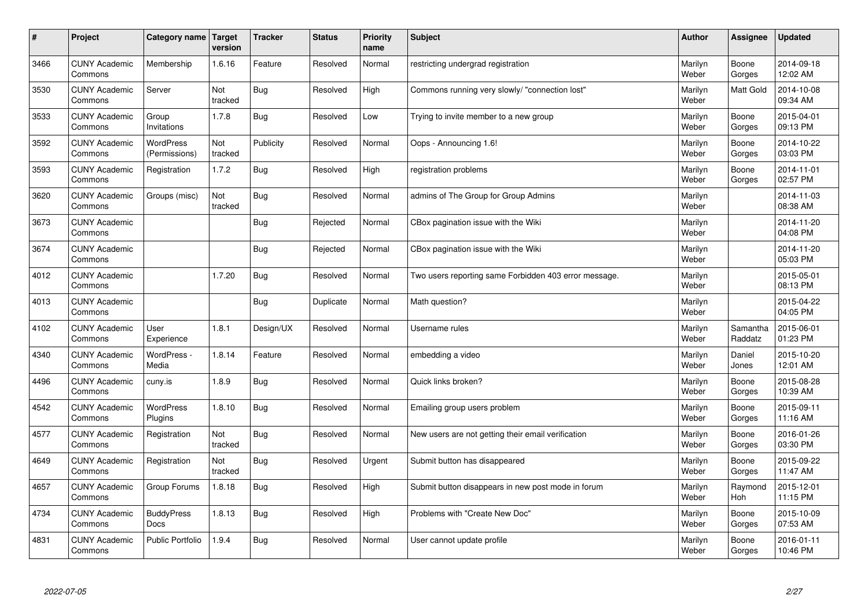| $\sharp$ | Project                         | Category name   Target            | version        | <b>Tracker</b> | <b>Status</b> | <b>Priority</b><br>name | <b>Subject</b>                                        | <b>Author</b>    | Assignee              | <b>Updated</b>         |
|----------|---------------------------------|-----------------------------------|----------------|----------------|---------------|-------------------------|-------------------------------------------------------|------------------|-----------------------|------------------------|
| 3466     | <b>CUNY Academic</b><br>Commons | Membership                        | 1.6.16         | Feature        | Resolved      | Normal                  | restricting undergrad registration                    | Marilyn<br>Weber | Boone<br>Gorges       | 2014-09-18<br>12:02 AM |
| 3530     | <b>CUNY Academic</b><br>Commons | Server                            | Not<br>tracked | Bug            | Resolved      | High                    | Commons running very slowly/ "connection lost"        | Marilyn<br>Weber | <b>Matt Gold</b>      | 2014-10-08<br>09:34 AM |
| 3533     | <b>CUNY Academic</b><br>Commons | Group<br>Invitations              | 1.7.8          | Bug            | Resolved      | Low                     | Trying to invite member to a new group                | Marilyn<br>Weber | Boone<br>Gorges       | 2015-04-01<br>09:13 PM |
| 3592     | <b>CUNY Academic</b><br>Commons | <b>WordPress</b><br>(Permissions) | Not<br>tracked | Publicity      | Resolved      | Normal                  | Oops - Announcing 1.6!                                | Marilyn<br>Weber | Boone<br>Gorges       | 2014-10-22<br>03:03 PM |
| 3593     | <b>CUNY Academic</b><br>Commons | Registration                      | 1.7.2          | Bug            | Resolved      | High                    | registration problems                                 | Marilyn<br>Weber | Boone<br>Gorges       | 2014-11-01<br>02:57 PM |
| 3620     | <b>CUNY Academic</b><br>Commons | Groups (misc)                     | Not<br>tracked | Bug            | Resolved      | Normal                  | admins of The Group for Group Admins                  | Marilyn<br>Weber |                       | 2014-11-03<br>08:38 AM |
| 3673     | <b>CUNY Academic</b><br>Commons |                                   |                | Bug            | Rejected      | Normal                  | CBox pagination issue with the Wiki                   | Marilyn<br>Weber |                       | 2014-11-20<br>04:08 PM |
| 3674     | <b>CUNY Academic</b><br>Commons |                                   |                | Bug            | Rejected      | Normal                  | CBox pagination issue with the Wiki                   | Marilyn<br>Weber |                       | 2014-11-20<br>05:03 PM |
| 4012     | <b>CUNY Academic</b><br>Commons |                                   | 1.7.20         | Bug            | Resolved      | Normal                  | Two users reporting same Forbidden 403 error message. | Marilyn<br>Weber |                       | 2015-05-01<br>08:13 PM |
| 4013     | <b>CUNY Academic</b><br>Commons |                                   |                | Bug            | Duplicate     | Normal                  | Math question?                                        | Marilyn<br>Weber |                       | 2015-04-22<br>04:05 PM |
| 4102     | <b>CUNY Academic</b><br>Commons | User<br>Experience                | 1.8.1          | Design/UX      | Resolved      | Normal                  | Username rules                                        | Marilyn<br>Weber | Samantha<br>Raddatz   | 2015-06-01<br>01:23 PM |
| 4340     | <b>CUNY Academic</b><br>Commons | WordPress -<br>Media              | 1.8.14         | Feature        | Resolved      | Normal                  | embedding a video                                     | Marilyn<br>Weber | Daniel<br>Jones       | 2015-10-20<br>12:01 AM |
| 4496     | <b>CUNY Academic</b><br>Commons | cuny.is                           | 1.8.9          | Bug            | Resolved      | Normal                  | Quick links broken?                                   | Marilyn<br>Weber | Boone<br>Gorges       | 2015-08-28<br>10:39 AM |
| 4542     | <b>CUNY Academic</b><br>Commons | WordPress<br>Plugins              | 1.8.10         | <b>Bug</b>     | Resolved      | Normal                  | Emailing group users problem                          | Marilyn<br>Weber | Boone<br>Gorges       | 2015-09-11<br>11:16 AM |
| 4577     | <b>CUNY Academic</b><br>Commons | Registration                      | Not<br>tracked | Bug            | Resolved      | Normal                  | New users are not getting their email verification    | Marilyn<br>Weber | Boone<br>Gorges       | 2016-01-26<br>03:30 PM |
| 4649     | <b>CUNY Academic</b><br>Commons | Registration                      | Not<br>tracked | Bug            | Resolved      | Urgent                  | Submit button has disappeared                         | Marilyn<br>Weber | Boone<br>Gorges       | 2015-09-22<br>11:47 AM |
| 4657     | <b>CUNY Academic</b><br>Commons | Group Forums                      | 1.8.18         | Bug            | Resolved      | High                    | Submit button disappears in new post mode in forum    | Marilyn<br>Weber | Raymond<br><b>Hoh</b> | 2015-12-01<br>11:15 PM |
| 4734     | <b>CUNY Academic</b><br>Commons | <b>BuddyPress</b><br>Docs         | 1.8.13         | <b>Bug</b>     | Resolved      | High                    | Problems with "Create New Doc"                        | Marilyn<br>Weber | Boone<br>Gorges       | 2015-10-09<br>07:53 AM |
| 4831     | <b>CUNY Academic</b><br>Commons | <b>Public Portfolio</b>           | 1.9.4          | Bug            | Resolved      | Normal                  | User cannot update profile                            | Marilyn<br>Weber | Boone<br>Gorges       | 2016-01-11<br>10:46 PM |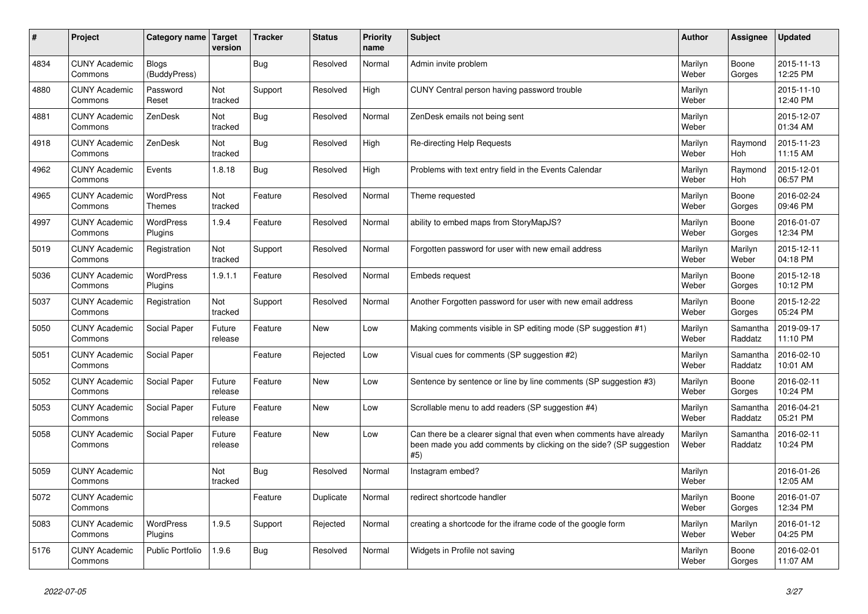| #    | Project                         | Category name                | Target<br>version | <b>Tracker</b> | <b>Status</b> | <b>Priority</b><br>name | <b>Subject</b>                                                                                                                                  | Author           | Assignee            | <b>Updated</b>         |
|------|---------------------------------|------------------------------|-------------------|----------------|---------------|-------------------------|-------------------------------------------------------------------------------------------------------------------------------------------------|------------------|---------------------|------------------------|
| 4834 | <b>CUNY Academic</b><br>Commons | <b>Blogs</b><br>(BuddyPress) |                   | <b>Bug</b>     | Resolved      | Normal                  | Admin invite problem                                                                                                                            | Marilyn<br>Weber | Boone<br>Gorges     | 2015-11-13<br>12:25 PM |
| 4880 | <b>CUNY Academic</b><br>Commons | Password<br>Reset            | Not<br>tracked    | Support        | Resolved      | High                    | CUNY Central person having password trouble                                                                                                     | Marilyn<br>Weber |                     | 2015-11-10<br>12:40 PM |
| 4881 | <b>CUNY Academic</b><br>Commons | ZenDesk                      | Not<br>tracked    | <b>Bug</b>     | Resolved      | Normal                  | ZenDesk emails not being sent                                                                                                                   | Marilyn<br>Weber |                     | 2015-12-07<br>01:34 AM |
| 4918 | <b>CUNY Academic</b><br>Commons | ZenDesk                      | Not<br>tracked    | <b>Bug</b>     | Resolved      | High                    | Re-directing Help Requests                                                                                                                      | Marilyn<br>Weber | Raymond<br>Hoh      | 2015-11-23<br>11:15 AM |
| 4962 | <b>CUNY Academic</b><br>Commons | Events                       | 1.8.18            | Bug            | Resolved      | High                    | Problems with text entry field in the Events Calendar                                                                                           | Marilyn<br>Weber | Raymond<br>Hoh      | 2015-12-01<br>06:57 PM |
| 4965 | <b>CUNY Academic</b><br>Commons | WordPress<br><b>Themes</b>   | Not<br>tracked    | Feature        | Resolved      | Normal                  | Theme requested                                                                                                                                 | Marilyn<br>Weber | Boone<br>Gorges     | 2016-02-24<br>09:46 PM |
| 4997 | <b>CUNY Academic</b><br>Commons | WordPress<br>Plugins         | 1.9.4             | Feature        | Resolved      | Normal                  | ability to embed maps from StoryMapJS?                                                                                                          | Marilyn<br>Weber | Boone<br>Gorges     | 2016-01-07<br>12:34 PM |
| 5019 | <b>CUNY Academic</b><br>Commons | Registration                 | Not<br>tracked    | Support        | Resolved      | Normal                  | Forgotten password for user with new email address                                                                                              | Marilyn<br>Weber | Marilyn<br>Weber    | 2015-12-11<br>04:18 PM |
| 5036 | <b>CUNY Academic</b><br>Commons | WordPress<br>Plugins         | 1.9.1.1           | Feature        | Resolved      | Normal                  | Embeds request                                                                                                                                  | Marilyn<br>Weber | Boone<br>Gorges     | 2015-12-18<br>10:12 PM |
| 5037 | <b>CUNY Academic</b><br>Commons | Registration                 | Not<br>tracked    | Support        | Resolved      | Normal                  | Another Forgotten password for user with new email address                                                                                      | Marilyn<br>Weber | Boone<br>Gorges     | 2015-12-22<br>05:24 PM |
| 5050 | <b>CUNY Academic</b><br>Commons | Social Paper                 | Future<br>release | Feature        | New           | Low                     | Making comments visible in SP editing mode (SP suggestion #1)                                                                                   | Marilyn<br>Weber | Samantha<br>Raddatz | 2019-09-17<br>11:10 PM |
| 5051 | <b>CUNY Academic</b><br>Commons | Social Paper                 |                   | Feature        | Rejected      | Low                     | Visual cues for comments (SP suggestion #2)                                                                                                     | Marilyn<br>Weber | Samantha<br>Raddatz | 2016-02-10<br>10:01 AM |
| 5052 | <b>CUNY Academic</b><br>Commons | Social Paper                 | Future<br>release | Feature        | <b>New</b>    | Low                     | Sentence by sentence or line by line comments (SP suggestion #3)                                                                                | Marilyn<br>Weber | Boone<br>Gorges     | 2016-02-11<br>10:24 PM |
| 5053 | <b>CUNY Academic</b><br>Commons | Social Paper                 | Future<br>release | Feature        | <b>New</b>    | Low                     | Scrollable menu to add readers (SP suggestion #4)                                                                                               | Marilyn<br>Weber | Samantha<br>Raddatz | 2016-04-21<br>05:21 PM |
| 5058 | <b>CUNY Academic</b><br>Commons | Social Paper                 | Future<br>release | Feature        | <b>New</b>    | Low                     | Can there be a clearer signal that even when comments have already<br>been made you add comments by clicking on the side? (SP suggestion<br>#5) | Marilyn<br>Weber | Samantha<br>Raddatz | 2016-02-11<br>10:24 PM |
| 5059 | <b>CUNY Academic</b><br>Commons |                              | Not<br>tracked    | <b>Bug</b>     | Resolved      | Normal                  | Instagram embed?                                                                                                                                | Marilyn<br>Weber |                     | 2016-01-26<br>12:05 AM |
| 5072 | <b>CUNY Academic</b><br>Commons |                              |                   | Feature        | Duplicate     | Normal                  | redirect shortcode handler                                                                                                                      | Marilyn<br>Weber | Boone<br>Gorges     | 2016-01-07<br>12:34 PM |
| 5083 | <b>CUNY Academic</b><br>Commons | WordPress<br>Plugins         | 1.9.5             | Support        | Rejected      | Normal                  | creating a shortcode for the iframe code of the google form                                                                                     | Marilyn<br>Weber | Marilyn<br>Weber    | 2016-01-12<br>04:25 PM |
| 5176 | <b>CUNY Academic</b><br>Commons | Public Portfolio             | 1.9.6             | Bug            | Resolved      | Normal                  | Widgets in Profile not saving                                                                                                                   | Marilyn<br>Weber | Boone<br>Gorges     | 2016-02-01<br>11:07 AM |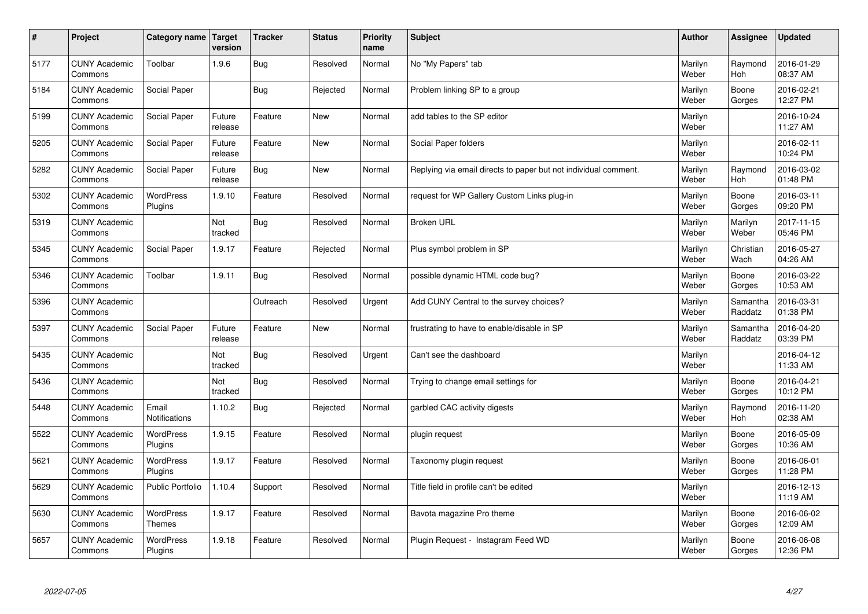| $\sharp$ | Project                         | Category name   Target      | version           | <b>Tracker</b> | <b>Status</b> | <b>Priority</b><br>name | <b>Subject</b>                                                  | <b>Author</b>    | Assignee              | <b>Updated</b>         |
|----------|---------------------------------|-----------------------------|-------------------|----------------|---------------|-------------------------|-----------------------------------------------------------------|------------------|-----------------------|------------------------|
| 5177     | <b>CUNY Academic</b><br>Commons | Toolbar                     | 1.9.6             | Bug            | Resolved      | Normal                  | No "My Papers" tab                                              | Marilyn<br>Weber | Raymond<br>Hoh        | 2016-01-29<br>08:37 AM |
| 5184     | <b>CUNY Academic</b><br>Commons | Social Paper                |                   | Bug            | Rejected      | Normal                  | Problem linking SP to a group                                   | Marilyn<br>Weber | Boone<br>Gorges       | 2016-02-21<br>12:27 PM |
| 5199     | <b>CUNY Academic</b><br>Commons | Social Paper                | Future<br>release | Feature        | New           | Normal                  | add tables to the SP editor                                     | Marilyn<br>Weber |                       | 2016-10-24<br>11:27 AM |
| 5205     | <b>CUNY Academic</b><br>Commons | Social Paper                | Future<br>release | Feature        | <b>New</b>    | Normal                  | Social Paper folders                                            | Marilyn<br>Weber |                       | 2016-02-11<br>10:24 PM |
| 5282     | <b>CUNY Academic</b><br>Commons | Social Paper                | Future<br>release | Bug            | <b>New</b>    | Normal                  | Replying via email directs to paper but not individual comment. | Marilyn<br>Weber | Raymond<br>Hoh        | 2016-03-02<br>01:48 PM |
| 5302     | <b>CUNY Academic</b><br>Commons | WordPress<br>Plugins        | 1.9.10            | Feature        | Resolved      | Normal                  | request for WP Gallery Custom Links plug-in                     | Marilyn<br>Weber | Boone<br>Gorges       | 2016-03-11<br>09:20 PM |
| 5319     | <b>CUNY Academic</b><br>Commons |                             | Not<br>tracked    | <b>Bug</b>     | Resolved      | Normal                  | <b>Broken URL</b>                                               | Marilyn<br>Weber | Marilyn<br>Weber      | 2017-11-15<br>05:46 PM |
| 5345     | <b>CUNY Academic</b><br>Commons | Social Paper                | 1.9.17            | Feature        | Rejected      | Normal                  | Plus symbol problem in SP                                       | Marilyn<br>Weber | Christian<br>Wach     | 2016-05-27<br>04:26 AM |
| 5346     | <b>CUNY Academic</b><br>Commons | Toolbar                     | 1.9.11            | Bug            | Resolved      | Normal                  | possible dynamic HTML code bug?                                 | Marilyn<br>Weber | Boone<br>Gorges       | 2016-03-22<br>10:53 AM |
| 5396     | <b>CUNY Academic</b><br>Commons |                             |                   | Outreach       | Resolved      | Urgent                  | Add CUNY Central to the survey choices?                         | Marilyn<br>Weber | Samantha<br>Raddatz   | 2016-03-31<br>01:38 PM |
| 5397     | <b>CUNY Academic</b><br>Commons | Social Paper                | Future<br>release | Feature        | New           | Normal                  | frustrating to have to enable/disable in SP                     | Marilyn<br>Weber | Samantha<br>Raddatz   | 2016-04-20<br>03:39 PM |
| 5435     | <b>CUNY Academic</b><br>Commons |                             | Not<br>tracked    | <b>Bug</b>     | Resolved      | Urgent                  | Can't see the dashboard                                         | Marilyn<br>Weber |                       | 2016-04-12<br>11:33 AM |
| 5436     | <b>CUNY Academic</b><br>Commons |                             | Not<br>tracked    | Bug            | Resolved      | Normal                  | Trying to change email settings for                             | Marilyn<br>Weber | Boone<br>Gorges       | 2016-04-21<br>10:12 PM |
| 5448     | <b>CUNY Academic</b><br>Commons | Email<br>Notifications      | 1.10.2            | Bug            | Rejected      | Normal                  | garbled CAC activity digests                                    | Marilyn<br>Weber | Raymond<br><b>Hoh</b> | 2016-11-20<br>02:38 AM |
| 5522     | <b>CUNY Academic</b><br>Commons | <b>WordPress</b><br>Plugins | 1.9.15            | Feature        | Resolved      | Normal                  | plugin request                                                  | Marilyn<br>Weber | Boone<br>Gorges       | 2016-05-09<br>10:36 AM |
| 5621     | <b>CUNY Academic</b><br>Commons | WordPress<br>Plugins        | 1.9.17            | Feature        | Resolved      | Normal                  | Taxonomy plugin request                                         | Marilyn<br>Weber | Boone<br>Gorges       | 2016-06-01<br>11:28 PM |
| 5629     | <b>CUNY Academic</b><br>Commons | Public Portfolio            | 1.10.4            | Support        | Resolved      | Normal                  | Title field in profile can't be edited                          | Marilyn<br>Weber |                       | 2016-12-13<br>11:19 AM |
| 5630     | <b>CUNY Academic</b><br>Commons | WordPress<br><b>Themes</b>  | 1.9.17            | Feature        | Resolved      | Normal                  | Bavota magazine Pro theme                                       | Marilyn<br>Weber | Boone<br>Gorges       | 2016-06-02<br>12:09 AM |
| 5657     | <b>CUNY Academic</b><br>Commons | <b>WordPress</b><br>Plugins | 1.9.18            | Feature        | Resolved      | Normal                  | Plugin Request - Instagram Feed WD                              | Marilyn<br>Weber | Boone<br>Gorges       | 2016-06-08<br>12:36 PM |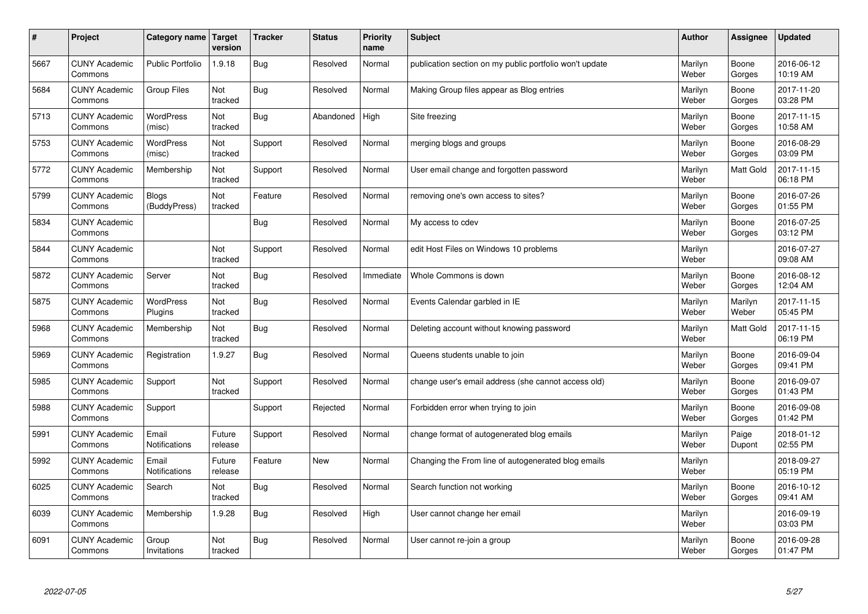| $\#$ | Project                         | Category name   Target       | version           | <b>Tracker</b> | <b>Status</b> | <b>Priority</b><br>name | <b>Subject</b>                                          | <b>Author</b>    | <b>Assignee</b>  | <b>Updated</b>         |
|------|---------------------------------|------------------------------|-------------------|----------------|---------------|-------------------------|---------------------------------------------------------|------------------|------------------|------------------------|
| 5667 | <b>CUNY Academic</b><br>Commons | <b>Public Portfolio</b>      | 1.9.18            | <b>Bug</b>     | Resolved      | Normal                  | publication section on my public portfolio won't update | Marilyn<br>Weber | Boone<br>Gorges  | 2016-06-12<br>10:19 AM |
| 5684 | <b>CUNY Academic</b><br>Commons | <b>Group Files</b>           | Not<br>tracked    | <b>Bug</b>     | Resolved      | Normal                  | Making Group files appear as Blog entries               | Marilyn<br>Weber | Boone<br>Gorges  | 2017-11-20<br>03:28 PM |
| 5713 | <b>CUNY Academic</b><br>Commons | <b>WordPress</b><br>(misc)   | Not<br>tracked    | Bug            | Abandoned     | High                    | Site freezing                                           | Marilyn<br>Weber | Boone<br>Gorges  | 2017-11-15<br>10:58 AM |
| 5753 | <b>CUNY Academic</b><br>Commons | <b>WordPress</b><br>(misc)   | Not<br>tracked    | Support        | Resolved      | Normal                  | merging blogs and groups                                | Marilyn<br>Weber | Boone<br>Gorges  | 2016-08-29<br>03:09 PM |
| 5772 | <b>CUNY Academic</b><br>Commons | Membership                   | Not<br>tracked    | Support        | Resolved      | Normal                  | User email change and forgotten password                | Marilyn<br>Weber | <b>Matt Gold</b> | 2017-11-15<br>06:18 PM |
| 5799 | <b>CUNY Academic</b><br>Commons | <b>Blogs</b><br>(BuddyPress) | Not<br>tracked    | Feature        | Resolved      | Normal                  | removing one's own access to sites?                     | Marilyn<br>Weber | Boone<br>Gorges  | 2016-07-26<br>01:55 PM |
| 5834 | <b>CUNY Academic</b><br>Commons |                              |                   | Bug            | Resolved      | Normal                  | My access to cdev                                       | Marilyn<br>Weber | Boone<br>Gorges  | 2016-07-25<br>03:12 PM |
| 5844 | <b>CUNY Academic</b><br>Commons |                              | Not<br>tracked    | Support        | Resolved      | Normal                  | edit Host Files on Windows 10 problems                  | Marilyn<br>Weber |                  | 2016-07-27<br>09:08 AM |
| 5872 | <b>CUNY Academic</b><br>Commons | Server                       | Not<br>tracked    | <b>Bug</b>     | Resolved      | Immediate               | Whole Commons is down                                   | Marilyn<br>Weber | Boone<br>Gorges  | 2016-08-12<br>12:04 AM |
| 5875 | <b>CUNY Academic</b><br>Commons | <b>WordPress</b><br>Plugins  | Not<br>tracked    | <b>Bug</b>     | Resolved      | Normal                  | Events Calendar garbled in IE                           | Marilyn<br>Weber | Marilyn<br>Weber | 2017-11-15<br>05:45 PM |
| 5968 | <b>CUNY Academic</b><br>Commons | Membership                   | Not<br>tracked    | Bug            | Resolved      | Normal                  | Deleting account without knowing password               | Marilyn<br>Weber | <b>Matt Gold</b> | 2017-11-15<br>06:19 PM |
| 5969 | <b>CUNY Academic</b><br>Commons | Registration                 | 1.9.27            | <b>Bug</b>     | Resolved      | Normal                  | Queens students unable to join                          | Marilyn<br>Weber | Boone<br>Gorges  | 2016-09-04<br>09:41 PM |
| 5985 | <b>CUNY Academic</b><br>Commons | Support                      | Not<br>tracked    | Support        | Resolved      | Normal                  | change user's email address (she cannot access old)     | Marilyn<br>Weber | Boone<br>Gorges  | 2016-09-07<br>01:43 PM |
| 5988 | <b>CUNY Academic</b><br>Commons | Support                      |                   | Support        | Rejected      | Normal                  | Forbidden error when trying to join                     | Marilyn<br>Weber | Boone<br>Gorges  | 2016-09-08<br>01:42 PM |
| 5991 | <b>CUNY Academic</b><br>Commons | Email<br>Notifications       | Future<br>release | Support        | Resolved      | Normal                  | change format of autogenerated blog emails              | Marilyn<br>Weber | Paige<br>Dupont  | 2018-01-12<br>02:55 PM |
| 5992 | <b>CUNY Academic</b><br>Commons | Email<br>Notifications       | Future<br>release | Feature        | <b>New</b>    | Normal                  | Changing the From line of autogenerated blog emails     | Marilyn<br>Weber |                  | 2018-09-27<br>05:19 PM |
| 6025 | <b>CUNY Academic</b><br>Commons | Search                       | Not<br>tracked    | Bug            | Resolved      | Normal                  | Search function not working                             | Marilyn<br>Weber | Boone<br>Gorges  | 2016-10-12<br>09:41 AM |
| 6039 | <b>CUNY Academic</b><br>Commons | Membership                   | 1.9.28            | <b>Bug</b>     | Resolved      | High                    | User cannot change her email                            | Marilyn<br>Weber |                  | 2016-09-19<br>03:03 PM |
| 6091 | <b>CUNY Academic</b><br>Commons | Group<br>Invitations         | Not<br>tracked    | Bug            | Resolved      | Normal                  | User cannot re-join a group                             | Marilyn<br>Weber | Boone<br>Gorges  | 2016-09-28<br>01:47 PM |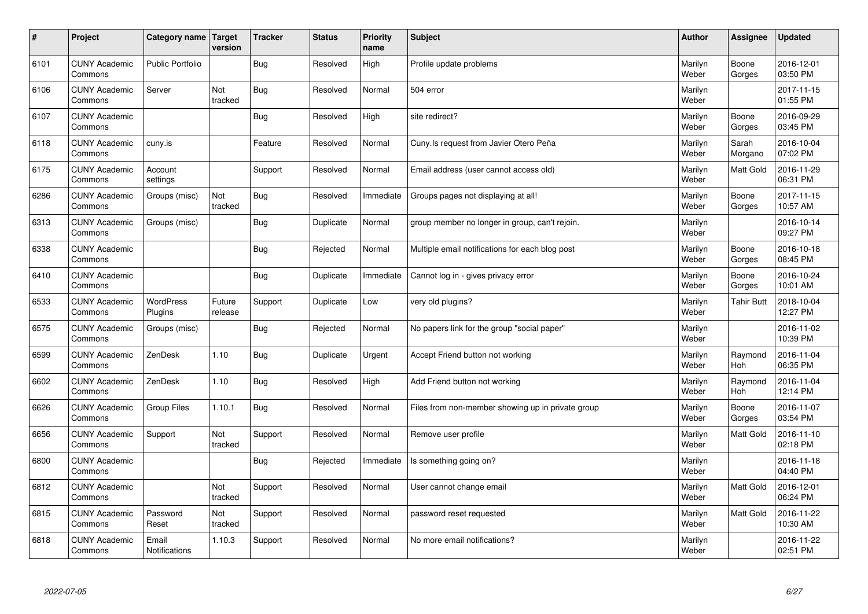| $\sharp$ | Project                         | Category name   Target        | version           | <b>Tracker</b> | <b>Status</b> | <b>Priority</b><br>name | <b>Subject</b>                                    | <b>Author</b>    | Assignee          | <b>Updated</b>         |
|----------|---------------------------------|-------------------------------|-------------------|----------------|---------------|-------------------------|---------------------------------------------------|------------------|-------------------|------------------------|
| 6101     | <b>CUNY Academic</b><br>Commons | <b>Public Portfolio</b>       |                   | Bug            | Resolved      | High                    | Profile update problems                           | Marilyn<br>Weber | Boone<br>Gorges   | 2016-12-01<br>03:50 PM |
| 6106     | <b>CUNY Academic</b><br>Commons | Server                        | Not<br>tracked    | Bug            | Resolved      | Normal                  | 504 error                                         | Marilyn<br>Weber |                   | 2017-11-15<br>01:55 PM |
| 6107     | <b>CUNY Academic</b><br>Commons |                               |                   | Bug            | Resolved      | High                    | site redirect?                                    | Marilyn<br>Weber | Boone<br>Gorges   | 2016-09-29<br>03:45 PM |
| 6118     | <b>CUNY Academic</b><br>Commons | cuny.is                       |                   | Feature        | Resolved      | Normal                  | Cuny. Is request from Javier Otero Peña           | Marilyn<br>Weber | Sarah<br>Morgano  | 2016-10-04<br>07:02 PM |
| 6175     | <b>CUNY Academic</b><br>Commons | Account<br>settings           |                   | Support        | Resolved      | Normal                  | Email address (user cannot access old)            | Marilyn<br>Weber | <b>Matt Gold</b>  | 2016-11-29<br>06:31 PM |
| 6286     | <b>CUNY Academic</b><br>Commons | Groups (misc)                 | Not<br>tracked    | Bug            | Resolved      | Immediate               | Groups pages not displaying at all!               | Marilyn<br>Weber | Boone<br>Gorges   | 2017-11-15<br>10:57 AM |
| 6313     | <b>CUNY Academic</b><br>Commons | Groups (misc)                 |                   | Bug            | Duplicate     | Normal                  | group member no longer in group, can't rejoin.    | Marilyn<br>Weber |                   | 2016-10-14<br>09:27 PM |
| 6338     | <b>CUNY Academic</b><br>Commons |                               |                   | <b>Bug</b>     | Rejected      | Normal                  | Multiple email notifications for each blog post   | Marilyn<br>Weber | Boone<br>Gorges   | 2016-10-18<br>08:45 PM |
| 6410     | <b>CUNY Academic</b><br>Commons |                               |                   | Bug            | Duplicate     | Immediate               | Cannot log in - gives privacy error               | Marilyn<br>Weber | Boone<br>Gorges   | 2016-10-24<br>10:01 AM |
| 6533     | <b>CUNY Academic</b><br>Commons | WordPress<br>Plugins          | Future<br>release | Support        | Duplicate     | Low                     | very old plugins?                                 | Marilyn<br>Weber | <b>Tahir Butt</b> | 2018-10-04<br>12:27 PM |
| 6575     | <b>CUNY Academic</b><br>Commons | Groups (misc)                 |                   | <b>Bug</b>     | Rejected      | Normal                  | No papers link for the group "social paper"       | Marilyn<br>Weber |                   | 2016-11-02<br>10:39 PM |
| 6599     | <b>CUNY Academic</b><br>Commons | ZenDesk                       | 1.10              | <b>Bug</b>     | Duplicate     | Urgent                  | Accept Friend button not working                  | Marilyn<br>Weber | Raymond<br>Hoh    | 2016-11-04<br>06:35 PM |
| 6602     | <b>CUNY Academic</b><br>Commons | ZenDesk                       | 1.10              | Bug            | Resolved      | High                    | Add Friend button not working                     | Marilyn<br>Weber | Raymond<br>Hoh    | 2016-11-04<br>12:14 PM |
| 6626     | <b>CUNY Academic</b><br>Commons | Group Files                   | 1.10.1            | Bug            | Resolved      | Normal                  | Files from non-member showing up in private group | Marilyn<br>Weber | Boone<br>Gorges   | 2016-11-07<br>03:54 PM |
| 6656     | <b>CUNY Academic</b><br>Commons | Support                       | Not<br>tracked    | Support        | Resolved      | Normal                  | Remove user profile                               | Marilyn<br>Weber | Matt Gold         | 2016-11-10<br>02:18 PM |
| 6800     | <b>CUNY Academic</b><br>Commons |                               |                   | Bug            | Rejected      | Immediate               | Is something going on?                            | Marilyn<br>Weber |                   | 2016-11-18<br>04:40 PM |
| 6812     | <b>CUNY Academic</b><br>Commons |                               | Not<br>tracked    | Support        | Resolved      | Normal                  | User cannot change email                          | Marilyn<br>Weber | Matt Gold         | 2016-12-01<br>06:24 PM |
| 6815     | <b>CUNY Academic</b><br>Commons | Password<br>Reset             | Not<br>tracked    | Support        | Resolved      | Normal                  | password reset requested                          | Marilyn<br>Weber | <b>Matt Gold</b>  | 2016-11-22<br>10:30 AM |
| 6818     | <b>CUNY Academic</b><br>Commons | Email<br><b>Notifications</b> | 1.10.3            | Support        | Resolved      | Normal                  | No more email notifications?                      | Marilyn<br>Weber |                   | 2016-11-22<br>02:51 PM |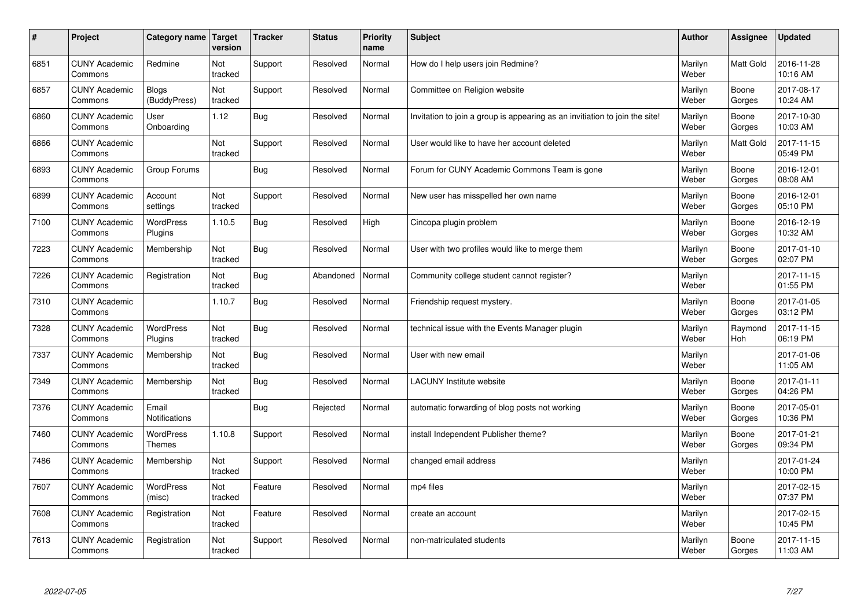| $\vert$ # | Project                         | Category name                | <b>Target</b><br>version | <b>Tracker</b> | <b>Status</b> | <b>Priority</b><br>name | <b>Subject</b>                                                              | <b>Author</b>    | <b>Assignee</b>       | <b>Updated</b>         |
|-----------|---------------------------------|------------------------------|--------------------------|----------------|---------------|-------------------------|-----------------------------------------------------------------------------|------------------|-----------------------|------------------------|
| 6851      | <b>CUNY Academic</b><br>Commons | Redmine                      | Not<br>tracked           | Support        | Resolved      | Normal                  | How do I help users join Redmine?                                           | Marilyn<br>Weber | <b>Matt Gold</b>      | 2016-11-28<br>10:16 AM |
| 6857      | <b>CUNY Academic</b><br>Commons | <b>Blogs</b><br>(BuddyPress) | Not<br>tracked           | Support        | Resolved      | Normal                  | Committee on Religion website                                               | Marilyn<br>Weber | Boone<br>Gorges       | 2017-08-17<br>10:24 AM |
| 6860      | <b>CUNY Academic</b><br>Commons | User<br>Onboarding           | 1.12                     | Bug            | Resolved      | Normal                  | Invitation to join a group is appearing as an invitiation to join the site! | Marilyn<br>Weber | Boone<br>Gorges       | 2017-10-30<br>10:03 AM |
| 6866      | <b>CUNY Academic</b><br>Commons |                              | Not<br>tracked           | Support        | Resolved      | Normal                  | User would like to have her account deleted                                 | Marilyn<br>Weber | Matt Gold             | 2017-11-15<br>05:49 PM |
| 6893      | <b>CUNY Academic</b><br>Commons | Group Forums                 |                          | Bug            | Resolved      | Normal                  | Forum for CUNY Academic Commons Team is gone                                | Marilyn<br>Weber | Boone<br>Gorges       | 2016-12-01<br>08:08 AM |
| 6899      | <b>CUNY Academic</b><br>Commons | Account<br>settings          | Not<br>tracked           | Support        | Resolved      | Normal                  | New user has misspelled her own name                                        | Marilyn<br>Weber | Boone<br>Gorges       | 2016-12-01<br>05:10 PM |
| 7100      | <b>CUNY Academic</b><br>Commons | <b>WordPress</b><br>Plugins  | 1.10.5                   | Bug            | Resolved      | High                    | Cincopa plugin problem                                                      | Marilyn<br>Weber | Boone<br>Gorges       | 2016-12-19<br>10:32 AM |
| 7223      | <b>CUNY Academic</b><br>Commons | Membership                   | Not<br>tracked           | Bug            | Resolved      | Normal                  | User with two profiles would like to merge them                             | Marilyn<br>Weber | Boone<br>Gorges       | 2017-01-10<br>02:07 PM |
| 7226      | <b>CUNY Academic</b><br>Commons | Registration                 | Not<br>tracked           | Bug            | Abandoned     | Normal                  | Community college student cannot register?                                  | Marilyn<br>Weber |                       | 2017-11-15<br>01:55 PM |
| 7310      | <b>CUNY Academic</b><br>Commons |                              | 1.10.7                   | <b>Bug</b>     | Resolved      | Normal                  | Friendship request mystery.                                                 | Marilyn<br>Weber | Boone<br>Gorges       | 2017-01-05<br>03:12 PM |
| 7328      | <b>CUNY Academic</b><br>Commons | WordPress<br>Plugins         | Not<br>tracked           | Bug            | Resolved      | Normal                  | technical issue with the Events Manager plugin                              | Marilyn<br>Weber | Raymond<br><b>Hoh</b> | 2017-11-15<br>06:19 PM |
| 7337      | <b>CUNY Academic</b><br>Commons | Membership                   | Not<br>tracked           | <b>Bug</b>     | Resolved      | Normal                  | User with new email                                                         | Marilyn<br>Weber |                       | 2017-01-06<br>11:05 AM |
| 7349      | <b>CUNY Academic</b><br>Commons | Membership                   | Not<br>tracked           | Bug            | Resolved      | Normal                  | <b>LACUNY</b> Institute website                                             | Marilyn<br>Weber | Boone<br>Gorges       | 2017-01-11<br>04:26 PM |
| 7376      | <b>CUNY Academic</b><br>Commons | Email<br>Notifications       |                          | Bug            | Rejected      | Normal                  | automatic forwarding of blog posts not working                              | Marilyn<br>Weber | Boone<br>Gorges       | 2017-05-01<br>10:36 PM |
| 7460      | <b>CUNY Academic</b><br>Commons | WordPress<br><b>Themes</b>   | 1.10.8                   | Support        | Resolved      | Normal                  | install Independent Publisher theme?                                        | Marilyn<br>Weber | Boone<br>Gorges       | 2017-01-21<br>09:34 PM |
| 7486      | <b>CUNY Academic</b><br>Commons | Membership                   | Not<br>tracked           | Support        | Resolved      | Normal                  | changed email address                                                       | Marilyn<br>Weber |                       | 2017-01-24<br>10:00 PM |
| 7607      | <b>CUNY Academic</b><br>Commons | <b>WordPress</b><br>(misc)   | Not<br>tracked           | Feature        | Resolved      | Normal                  | mp4 files                                                                   | Marilyn<br>Weber |                       | 2017-02-15<br>07:37 PM |
| 7608      | <b>CUNY Academic</b><br>Commons | Registration                 | Not<br>tracked           | Feature        | Resolved      | Normal                  | create an account                                                           | Marilyn<br>Weber |                       | 2017-02-15<br>10:45 PM |
| 7613      | <b>CUNY Academic</b><br>Commons | Registration                 | Not<br>tracked           | Support        | Resolved      | Normal                  | non-matriculated students                                                   | Marilyn<br>Weber | Boone<br>Gorges       | 2017-11-15<br>11:03 AM |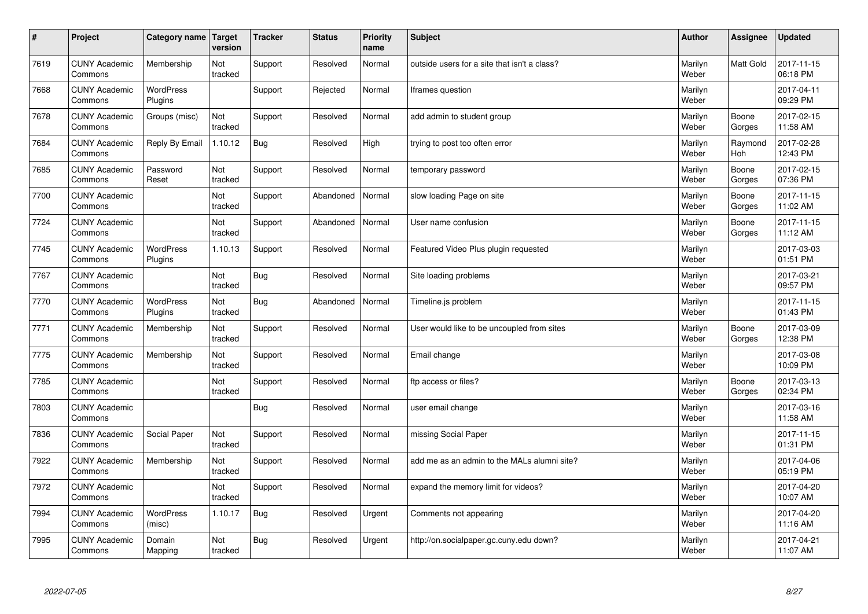| $\sharp$ | Project                         | Category name   Target      | version        | <b>Tracker</b> | <b>Status</b> | <b>Priority</b><br>name | <b>Subject</b>                               | <b>Author</b>    | Assignee              | <b>Updated</b>         |
|----------|---------------------------------|-----------------------------|----------------|----------------|---------------|-------------------------|----------------------------------------------|------------------|-----------------------|------------------------|
| 7619     | <b>CUNY Academic</b><br>Commons | Membership                  | Not<br>tracked | Support        | Resolved      | Normal                  | outside users for a site that isn't a class? | Marilyn<br>Weber | <b>Matt Gold</b>      | 2017-11-15<br>06:18 PM |
| 7668     | <b>CUNY Academic</b><br>Commons | <b>WordPress</b><br>Plugins |                | Support        | Rejected      | Normal                  | Iframes question                             | Marilyn<br>Weber |                       | 2017-04-11<br>09:29 PM |
| 7678     | <b>CUNY Academic</b><br>Commons | Groups (misc)               | Not<br>tracked | Support        | Resolved      | Normal                  | add admin to student group                   | Marilyn<br>Weber | Boone<br>Gorges       | 2017-02-15<br>11:58 AM |
| 7684     | <b>CUNY Academic</b><br>Commons | Reply By Email              | 1.10.12        | Bug            | Resolved      | High                    | trying to post too often error               | Marilyn<br>Weber | Raymond<br><b>Hoh</b> | 2017-02-28<br>12:43 PM |
| 7685     | <b>CUNY Academic</b><br>Commons | Password<br>Reset           | Not<br>tracked | Support        | Resolved      | Normal                  | temporary password                           | Marilyn<br>Weber | Boone<br>Gorges       | 2017-02-15<br>07:36 PM |
| 7700     | <b>CUNY Academic</b><br>Commons |                             | Not<br>tracked | Support        | Abandoned     | Normal                  | slow loading Page on site                    | Marilyn<br>Weber | Boone<br>Gorges       | 2017-11-15<br>11:02 AM |
| 7724     | <b>CUNY Academic</b><br>Commons |                             | Not<br>tracked | Support        | Abandoned     | Normal                  | User name confusion                          | Marilyn<br>Weber | Boone<br>Gorges       | 2017-11-15<br>11:12 AM |
| 7745     | <b>CUNY Academic</b><br>Commons | WordPress<br>Plugins        | 1.10.13        | Support        | Resolved      | Normal                  | Featured Video Plus plugin requested         | Marilyn<br>Weber |                       | 2017-03-03<br>01:51 PM |
| 7767     | <b>CUNY Academic</b><br>Commons |                             | Not<br>tracked | Bug            | Resolved      | Normal                  | Site loading problems                        | Marilyn<br>Weber |                       | 2017-03-21<br>09:57 PM |
| 7770     | <b>CUNY Academic</b><br>Commons | WordPress<br>Plugins        | Not<br>tracked | Bug            | Abandoned     | Normal                  | Timeline.js problem                          | Marilyn<br>Weber |                       | 2017-11-15<br>01:43 PM |
| 7771     | <b>CUNY Academic</b><br>Commons | Membership                  | Not<br>tracked | Support        | Resolved      | Normal                  | User would like to be uncoupled from sites   | Marilyn<br>Weber | Boone<br>Gorges       | 2017-03-09<br>12:38 PM |
| 7775     | <b>CUNY Academic</b><br>Commons | Membership                  | Not<br>tracked | Support        | Resolved      | Normal                  | Email change                                 | Marilyn<br>Weber |                       | 2017-03-08<br>10:09 PM |
| 7785     | <b>CUNY Academic</b><br>Commons |                             | Not<br>tracked | Support        | Resolved      | Normal                  | ftp access or files?                         | Marilyn<br>Weber | Boone<br>Gorges       | 2017-03-13<br>02:34 PM |
| 7803     | <b>CUNY Academic</b><br>Commons |                             |                | <b>Bug</b>     | Resolved      | Normal                  | user email change                            | Marilyn<br>Weber |                       | 2017-03-16<br>11:58 AM |
| 7836     | <b>CUNY Academic</b><br>Commons | Social Paper                | Not<br>tracked | Support        | Resolved      | Normal                  | missing Social Paper                         | Marilyn<br>Weber |                       | 2017-11-15<br>01:31 PM |
| 7922     | <b>CUNY Academic</b><br>Commons | Membership                  | Not<br>tracked | Support        | Resolved      | Normal                  | add me as an admin to the MALs alumni site?  | Marilyn<br>Weber |                       | 2017-04-06<br>05:19 PM |
| 7972     | <b>CUNY Academic</b><br>Commons |                             | Not<br>tracked | Support        | Resolved      | Normal                  | expand the memory limit for videos?          | Marilyn<br>Weber |                       | 2017-04-20<br>10:07 AM |
| 7994     | <b>CUNY Academic</b><br>Commons | <b>WordPress</b><br>(misc)  | 1.10.17        | Bug            | Resolved      | Urgent                  | Comments not appearing                       | Marilyn<br>Weber |                       | 2017-04-20<br>11:16 AM |
| 7995     | <b>CUNY Academic</b><br>Commons | Domain<br>Mapping           | Not<br>tracked | Bug            | Resolved      | Urgent                  | http://on.socialpaper.gc.cuny.edu down?      | Marilyn<br>Weber |                       | 2017-04-21<br>11:07 AM |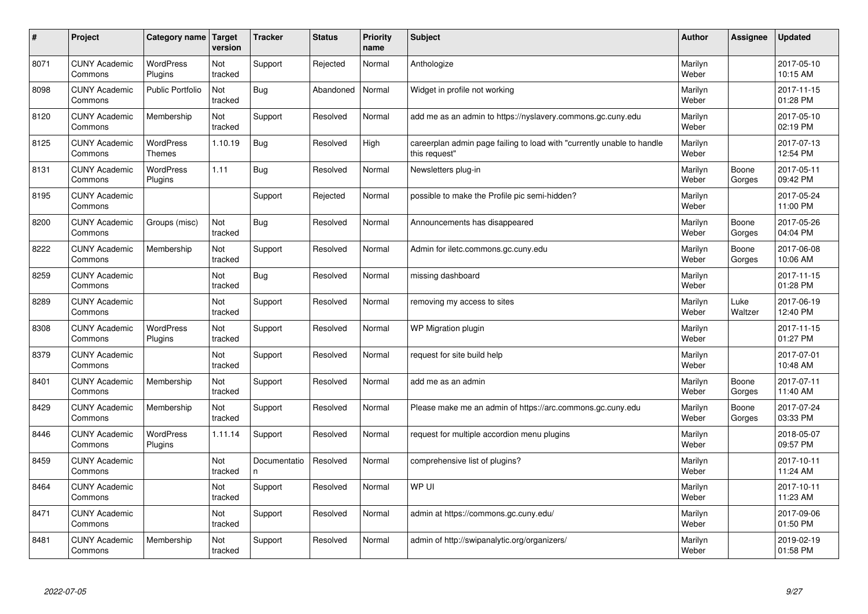| #    | Project                         | Category name   Target      | version        | <b>Tracker</b>     | <b>Status</b> | <b>Priority</b><br>name | <b>Subject</b>                                                                          | <b>Author</b>    | <b>Assignee</b> | <b>Updated</b>         |
|------|---------------------------------|-----------------------------|----------------|--------------------|---------------|-------------------------|-----------------------------------------------------------------------------------------|------------------|-----------------|------------------------|
| 8071 | <b>CUNY Academic</b><br>Commons | <b>WordPress</b><br>Plugins | Not<br>tracked | Support            | Rejected      | Normal                  | Anthologize                                                                             | Marilyn<br>Weber |                 | 2017-05-10<br>10:15 AM |
| 8098 | <b>CUNY Academic</b><br>Commons | <b>Public Portfolio</b>     | Not<br>tracked | <b>Bug</b>         | Abandoned     | Normal                  | Widget in profile not working                                                           | Marilyn<br>Weber |                 | 2017-11-15<br>01:28 PM |
| 8120 | <b>CUNY Academic</b><br>Commons | Membership                  | Not<br>tracked | Support            | Resolved      | Normal                  | add me as an admin to https://nyslavery.commons.gc.cuny.edu                             | Marilyn<br>Weber |                 | 2017-05-10<br>02:19 PM |
| 8125 | <b>CUNY Academic</b><br>Commons | WordPress<br><b>Themes</b>  | 1.10.19        | <b>Bug</b>         | Resolved      | High                    | careerplan admin page failing to load with "currently unable to handle<br>this request" | Marilyn<br>Weber |                 | 2017-07-13<br>12:54 PM |
| 8131 | <b>CUNY Academic</b><br>Commons | WordPress<br>Plugins        | 1.11           | Bug                | Resolved      | Normal                  | Newsletters plug-in                                                                     | Marilyn<br>Weber | Boone<br>Gorges | 2017-05-11<br>09:42 PM |
| 8195 | <b>CUNY Academic</b><br>Commons |                             |                | Support            | Rejected      | Normal                  | possible to make the Profile pic semi-hidden?                                           | Marilyn<br>Weber |                 | 2017-05-24<br>11:00 PM |
| 8200 | <b>CUNY Academic</b><br>Commons | Groups (misc)               | Not<br>tracked | Bug                | Resolved      | Normal                  | Announcements has disappeared                                                           | Marilyn<br>Weber | Boone<br>Gorges | 2017-05-26<br>04:04 PM |
| 8222 | <b>CUNY Academic</b><br>Commons | Membership                  | Not<br>tracked | Support            | Resolved      | Normal                  | Admin for iletc.commons.gc.cuny.edu                                                     | Marilyn<br>Weber | Boone<br>Gorges | 2017-06-08<br>10:06 AM |
| 8259 | <b>CUNY Academic</b><br>Commons |                             | Not<br>tracked | <b>Bug</b>         | Resolved      | Normal                  | missing dashboard                                                                       | Marilyn<br>Weber |                 | 2017-11-15<br>01:28 PM |
| 8289 | <b>CUNY Academic</b><br>Commons |                             | Not<br>tracked | Support            | Resolved      | Normal                  | removing my access to sites                                                             | Marilyn<br>Weber | Luke<br>Waltzer | 2017-06-19<br>12:40 PM |
| 8308 | <b>CUNY Academic</b><br>Commons | <b>WordPress</b><br>Plugins | Not<br>tracked | Support            | Resolved      | Normal                  | WP Migration plugin                                                                     | Marilyn<br>Weber |                 | 2017-11-15<br>01:27 PM |
| 8379 | <b>CUNY Academic</b><br>Commons |                             | Not<br>tracked | Support            | Resolved      | Normal                  | request for site build help                                                             | Marilyn<br>Weber |                 | 2017-07-01<br>10:48 AM |
| 8401 | <b>CUNY Academic</b><br>Commons | Membership                  | Not<br>tracked | Support            | Resolved      | Normal                  | add me as an admin                                                                      | Marilyn<br>Weber | Boone<br>Gorges | 2017-07-11<br>11:40 AM |
| 8429 | <b>CUNY Academic</b><br>Commons | Membership                  | Not<br>tracked | Support            | Resolved      | Normal                  | Please make me an admin of https://arc.commons.gc.cuny.edu                              | Marilyn<br>Weber | Boone<br>Gorges | 2017-07-24<br>03:33 PM |
| 8446 | <b>CUNY Academic</b><br>Commons | <b>WordPress</b><br>Plugins | 1.11.14        | Support            | Resolved      | Normal                  | request for multiple accordion menu plugins                                             | Marilyn<br>Weber |                 | 2018-05-07<br>09:57 PM |
| 8459 | <b>CUNY Academic</b><br>Commons |                             | Not<br>tracked | Documentatio<br>n. | Resolved      | Normal                  | comprehensive list of plugins?                                                          | Marilyn<br>Weber |                 | 2017-10-11<br>11:24 AM |
| 8464 | <b>CUNY Academic</b><br>Commons |                             | Not<br>tracked | Support            | Resolved      | Normal                  | WP UI                                                                                   | Marilyn<br>Weber |                 | 2017-10-11<br>11:23 AM |
| 8471 | <b>CUNY Academic</b><br>Commons |                             | Not<br>tracked | Support            | Resolved      | Normal                  | admin at https://commons.gc.cuny.edu/                                                   | Marilyn<br>Weber |                 | 2017-09-06<br>01:50 PM |
| 8481 | <b>CUNY Academic</b><br>Commons | Membership                  | Not<br>tracked | Support            | Resolved      | Normal                  | admin of http://swipanalytic.org/organizers/                                            | Marilyn<br>Weber |                 | 2019-02-19<br>01:58 PM |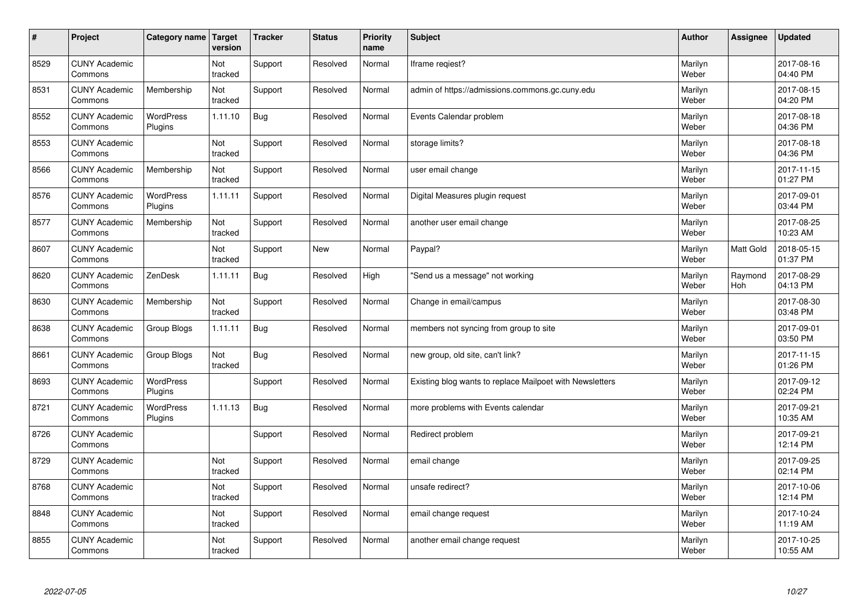| $\vert$ # | Project                         | Category name   Target      | version        | <b>Tracker</b> | <b>Status</b> | <b>Priority</b><br>name | <b>Subject</b>                                           | <b>Author</b>    | Assignee              | <b>Updated</b>         |
|-----------|---------------------------------|-----------------------------|----------------|----------------|---------------|-------------------------|----------------------------------------------------------|------------------|-----------------------|------------------------|
| 8529      | <b>CUNY Academic</b><br>Commons |                             | Not<br>tracked | Support        | Resolved      | Normal                  | Iframe reqiest?                                          | Marilyn<br>Weber |                       | 2017-08-16<br>04:40 PM |
| 8531      | <b>CUNY Academic</b><br>Commons | Membership                  | Not<br>tracked | Support        | Resolved      | Normal                  | admin of https://admissions.commons.gc.cuny.edu          | Marilyn<br>Weber |                       | 2017-08-15<br>04:20 PM |
| 8552      | <b>CUNY Academic</b><br>Commons | WordPress<br>Plugins        | 1.11.10        | Bug            | Resolved      | Normal                  | Events Calendar problem                                  | Marilyn<br>Weber |                       | 2017-08-18<br>04:36 PM |
| 8553      | <b>CUNY Academic</b><br>Commons |                             | Not<br>tracked | Support        | Resolved      | Normal                  | storage limits?                                          | Marilyn<br>Weber |                       | 2017-08-18<br>04:36 PM |
| 8566      | <b>CUNY Academic</b><br>Commons | Membership                  | Not<br>tracked | Support        | Resolved      | Normal                  | user email change                                        | Marilyn<br>Weber |                       | 2017-11-15<br>01:27 PM |
| 8576      | <b>CUNY Academic</b><br>Commons | WordPress<br>Plugins        | 1.11.11        | Support        | Resolved      | Normal                  | Digital Measures plugin request                          | Marilyn<br>Weber |                       | 2017-09-01<br>03:44 PM |
| 8577      | <b>CUNY Academic</b><br>Commons | Membership                  | Not<br>tracked | Support        | Resolved      | Normal                  | another user email change                                | Marilyn<br>Weber |                       | 2017-08-25<br>10:23 AM |
| 8607      | <b>CUNY Academic</b><br>Commons |                             | Not<br>tracked | Support        | <b>New</b>    | Normal                  | Paypal?                                                  | Marilyn<br>Weber | Matt Gold             | 2018-05-15<br>01:37 PM |
| 8620      | <b>CUNY Academic</b><br>Commons | ZenDesk                     | 1.11.11        | Bug            | Resolved      | High                    | 'Send us a message" not working                          | Marilyn<br>Weber | Raymond<br><b>Hoh</b> | 2017-08-29<br>04:13 PM |
| 8630      | <b>CUNY Academic</b><br>Commons | Membership                  | Not<br>tracked | Support        | Resolved      | Normal                  | Change in email/campus                                   | Marilyn<br>Weber |                       | 2017-08-30<br>03:48 PM |
| 8638      | <b>CUNY Academic</b><br>Commons | Group Blogs                 | 1.11.11        | Bug            | Resolved      | Normal                  | members not syncing from group to site                   | Marilyn<br>Weber |                       | 2017-09-01<br>03:50 PM |
| 8661      | <b>CUNY Academic</b><br>Commons | Group Blogs                 | Not<br>tracked | <b>Bug</b>     | Resolved      | Normal                  | new group, old site, can't link?                         | Marilyn<br>Weber |                       | 2017-11-15<br>01:26 PM |
| 8693      | <b>CUNY Academic</b><br>Commons | WordPress<br>Plugins        |                | Support        | Resolved      | Normal                  | Existing blog wants to replace Mailpoet with Newsletters | Marilyn<br>Weber |                       | 2017-09-12<br>02:24 PM |
| 8721      | <b>CUNY Academic</b><br>Commons | <b>WordPress</b><br>Plugins | 1.11.13        | Bug            | Resolved      | Normal                  | more problems with Events calendar                       | Marilyn<br>Weber |                       | 2017-09-21<br>10:35 AM |
| 8726      | <b>CUNY Academic</b><br>Commons |                             |                | Support        | Resolved      | Normal                  | Redirect problem                                         | Marilyn<br>Weber |                       | 2017-09-21<br>12:14 PM |
| 8729      | <b>CUNY Academic</b><br>Commons |                             | Not<br>tracked | Support        | Resolved      | Normal                  | email change                                             | Marilyn<br>Weber |                       | 2017-09-25<br>02:14 PM |
| 8768      | <b>CUNY Academic</b><br>Commons |                             | Not<br>tracked | Support        | Resolved      | Normal                  | unsafe redirect?                                         | Marilyn<br>Weber |                       | 2017-10-06<br>12:14 PM |
| 8848      | <b>CUNY Academic</b><br>Commons |                             | Not<br>tracked | Support        | Resolved      | Normal                  | email change request                                     | Marilyn<br>Weber |                       | 2017-10-24<br>11:19 AM |
| 8855      | <b>CUNY Academic</b><br>Commons |                             | Not<br>tracked | Support        | Resolved      | Normal                  | another email change request                             | Marilyn<br>Weber |                       | 2017-10-25<br>10:55 AM |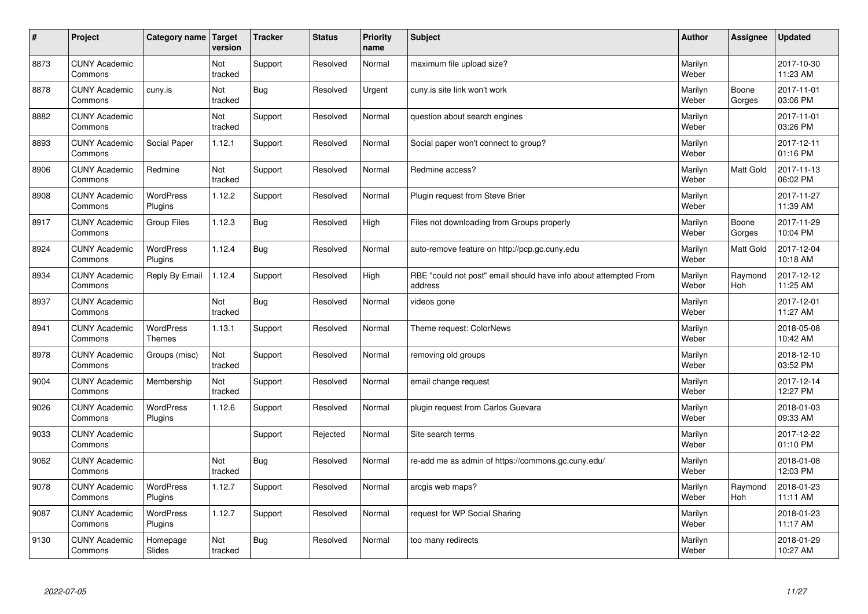| $\sharp$ | Project                         | Category name   Target             | version        | <b>Tracker</b> | <b>Status</b> | <b>Priority</b><br>name | <b>Subject</b>                                                              | <b>Author</b>    | Assignee         | <b>Updated</b>         |
|----------|---------------------------------|------------------------------------|----------------|----------------|---------------|-------------------------|-----------------------------------------------------------------------------|------------------|------------------|------------------------|
| 8873     | <b>CUNY Academic</b><br>Commons |                                    | Not<br>tracked | Support        | Resolved      | Normal                  | maximum file upload size?                                                   | Marilyn<br>Weber |                  | 2017-10-30<br>11:23 AM |
| 8878     | <b>CUNY Academic</b><br>Commons | cuny.is                            | Not<br>tracked | Bug            | Resolved      | Urgent                  | cuny.is site link won't work                                                | Marilyn<br>Weber | Boone<br>Gorges  | 2017-11-01<br>03:06 PM |
| 8882     | <b>CUNY Academic</b><br>Commons |                                    | Not<br>tracked | Support        | Resolved      | Normal                  | question about search engines                                               | Marilyn<br>Weber |                  | 2017-11-01<br>03:26 PM |
| 8893     | <b>CUNY Academic</b><br>Commons | Social Paper                       | 1.12.1         | Support        | Resolved      | Normal                  | Social paper won't connect to group?                                        | Marilyn<br>Weber |                  | 2017-12-11<br>01:16 PM |
| 8906     | <b>CUNY Academic</b><br>Commons | Redmine                            | Not<br>tracked | Support        | Resolved      | Normal                  | Redmine access?                                                             | Marilyn<br>Weber | <b>Matt Gold</b> | 2017-11-13<br>06:02 PM |
| 8908     | <b>CUNY Academic</b><br>Commons | <b>WordPress</b><br><b>Plugins</b> | 1.12.2         | Support        | Resolved      | Normal                  | Plugin request from Steve Brier                                             | Marilyn<br>Weber |                  | 2017-11-27<br>11:39 AM |
| 8917     | <b>CUNY Academic</b><br>Commons | <b>Group Files</b>                 | 1.12.3         | Bug            | Resolved      | High                    | Files not downloading from Groups properly                                  | Marilyn<br>Weber | Boone<br>Gorges  | 2017-11-29<br>10:04 PM |
| 8924     | <b>CUNY Academic</b><br>Commons | WordPress<br>Plugins               | 1.12.4         | <b>Bug</b>     | Resolved      | Normal                  | auto-remove feature on http://pcp.gc.cuny.edu                               | Marilyn<br>Weber | <b>Matt Gold</b> | 2017-12-04<br>10:18 AM |
| 8934     | <b>CUNY Academic</b><br>Commons | Reply By Email                     | 1.12.4         | Support        | Resolved      | High                    | RBE "could not post" email should have info about attempted From<br>address | Marilyn<br>Weber | Raymond<br>Hoh   | 2017-12-12<br>11:25 AM |
| 8937     | <b>CUNY Academic</b><br>Commons |                                    | Not<br>tracked | <b>Bug</b>     | Resolved      | Normal                  | videos gone                                                                 | Marilyn<br>Weber |                  | 2017-12-01<br>11:27 AM |
| 8941     | <b>CUNY Academic</b><br>Commons | <b>WordPress</b><br><b>Themes</b>  | 1.13.1         | Support        | Resolved      | Normal                  | Theme request: ColorNews                                                    | Marilyn<br>Weber |                  | 2018-05-08<br>10:42 AM |
| 8978     | <b>CUNY Academic</b><br>Commons | Groups (misc)                      | Not<br>tracked | Support        | Resolved      | Normal                  | removing old groups                                                         | Marilyn<br>Weber |                  | 2018-12-10<br>03:52 PM |
| 9004     | <b>CUNY Academic</b><br>Commons | Membership                         | Not<br>tracked | Support        | Resolved      | Normal                  | email change request                                                        | Marilyn<br>Weber |                  | 2017-12-14<br>12:27 PM |
| 9026     | <b>CUNY Academic</b><br>Commons | WordPress<br>Plugins               | 1.12.6         | Support        | Resolved      | Normal                  | plugin request from Carlos Guevara                                          | Marilyn<br>Weber |                  | 2018-01-03<br>09:33 AM |
| 9033     | <b>CUNY Academic</b><br>Commons |                                    |                | Support        | Rejected      | Normal                  | Site search terms                                                           | Marilyn<br>Weber |                  | 2017-12-22<br>01:10 PM |
| 9062     | <b>CUNY Academic</b><br>Commons |                                    | Not<br>tracked | Bug            | Resolved      | Normal                  | re-add me as admin of https://commons.gc.cuny.edu/                          | Marilyn<br>Weber |                  | 2018-01-08<br>12:03 PM |
| 9078     | <b>CUNY Academic</b><br>Commons | WordPress<br>Plugins               | 1.12.7         | Support        | Resolved      | Normal                  | arcgis web maps?                                                            | Marilyn<br>Weber | Raymond<br>Hoh   | 2018-01-23<br>11:11 AM |
| 9087     | <b>CUNY Academic</b><br>Commons | <b>WordPress</b><br>Plugins        | 1.12.7         | Support        | Resolved      | Normal                  | request for WP Social Sharing                                               | Marilyn<br>Weber |                  | 2018-01-23<br>11:17 AM |
| 9130     | <b>CUNY Academic</b><br>Commons | Homepage<br>Slides                 | Not<br>tracked | Bug            | Resolved      | Normal                  | too many redirects                                                          | Marilyn<br>Weber |                  | 2018-01-29<br>10:27 AM |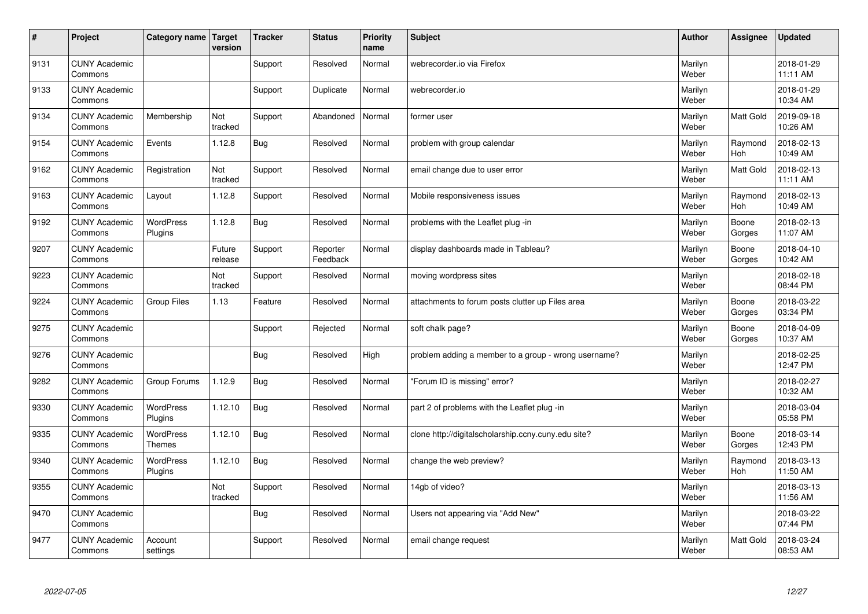| $\sharp$ | Project                         | Category name   Target      | version           | <b>Tracker</b> | <b>Status</b>        | <b>Priority</b><br>name | <b>Subject</b>                                       | <b>Author</b>    | Assignee              | <b>Updated</b>         |
|----------|---------------------------------|-----------------------------|-------------------|----------------|----------------------|-------------------------|------------------------------------------------------|------------------|-----------------------|------------------------|
| 9131     | <b>CUNY Academic</b><br>Commons |                             |                   | Support        | Resolved             | Normal                  | webrecorder.jo via Firefox                           | Marilyn<br>Weber |                       | 2018-01-29<br>11:11 AM |
| 9133     | <b>CUNY Academic</b><br>Commons |                             |                   | Support        | Duplicate            | Normal                  | webrecorder.io                                       | Marilyn<br>Weber |                       | 2018-01-29<br>10:34 AM |
| 9134     | <b>CUNY Academic</b><br>Commons | Membership                  | Not<br>tracked    | Support        | Abandoned            | Normal                  | former user                                          | Marilyn<br>Weber | Matt Gold             | 2019-09-18<br>10:26 AM |
| 9154     | <b>CUNY Academic</b><br>Commons | Events                      | 1.12.8            | Bug            | Resolved             | Normal                  | problem with group calendar                          | Marilyn<br>Weber | Raymond<br>Hoh        | 2018-02-13<br>10:49 AM |
| 9162     | <b>CUNY Academic</b><br>Commons | Registration                | Not<br>tracked    | Support        | Resolved             | Normal                  | email change due to user error                       | Marilyn<br>Weber | <b>Matt Gold</b>      | 2018-02-13<br>11:11 AM |
| 9163     | <b>CUNY Academic</b><br>Commons | Layout                      | 1.12.8            | Support        | Resolved             | Normal                  | Mobile responsiveness issues                         | Marilyn<br>Weber | Raymond<br>Hoh        | 2018-02-13<br>10:49 AM |
| 9192     | <b>CUNY Academic</b><br>Commons | <b>WordPress</b><br>Plugins | 1.12.8            | Bug            | Resolved             | Normal                  | problems with the Leaflet plug -in                   | Marilyn<br>Weber | Boone<br>Gorges       | 2018-02-13<br>11:07 AM |
| 9207     | <b>CUNY Academic</b><br>Commons |                             | Future<br>release | Support        | Reporter<br>Feedback | Normal                  | display dashboards made in Tableau?                  | Marilyn<br>Weber | Boone<br>Gorges       | 2018-04-10<br>10:42 AM |
| 9223     | <b>CUNY Academic</b><br>Commons |                             | Not<br>tracked    | Support        | Resolved             | Normal                  | moving wordpress sites                               | Marilyn<br>Weber |                       | 2018-02-18<br>08:44 PM |
| 9224     | <b>CUNY Academic</b><br>Commons | <b>Group Files</b>          | 1.13              | Feature        | Resolved             | Normal                  | attachments to forum posts clutter up Files area     | Marilyn<br>Weber | Boone<br>Gorges       | 2018-03-22<br>03:34 PM |
| 9275     | <b>CUNY Academic</b><br>Commons |                             |                   | Support        | Rejected             | Normal                  | soft chalk page?                                     | Marilyn<br>Weber | Boone<br>Gorges       | 2018-04-09<br>10:37 AM |
| 9276     | <b>CUNY Academic</b><br>Commons |                             |                   | Bug            | Resolved             | High                    | problem adding a member to a group - wrong username? | Marilyn<br>Weber |                       | 2018-02-25<br>12:47 PM |
| 9282     | <b>CUNY Academic</b><br>Commons | Group Forums                | 1.12.9            | Bug            | Resolved             | Normal                  | 'Forum ID is missing" error?                         | Marilyn<br>Weber |                       | 2018-02-27<br>10:32 AM |
| 9330     | <b>CUNY Academic</b><br>Commons | WordPress<br>Plugins        | 1.12.10           | Bug            | Resolved             | Normal                  | part 2 of problems with the Leaflet plug -in         | Marilyn<br>Weber |                       | 2018-03-04<br>05:58 PM |
| 9335     | <b>CUNY Academic</b><br>Commons | WordPress<br><b>Themes</b>  | 1.12.10           | Bug            | Resolved             | Normal                  | clone http://digitalscholarship.ccny.cuny.edu site?  | Marilyn<br>Weber | Boone<br>Gorges       | 2018-03-14<br>12:43 PM |
| 9340     | <b>CUNY Academic</b><br>Commons | <b>WordPress</b><br>Plugins | 1.12.10           | Bug            | Resolved             | Normal                  | change the web preview?                              | Marilyn<br>Weber | Raymond<br><b>Hoh</b> | 2018-03-13<br>11:50 AM |
| 9355     | <b>CUNY Academic</b><br>Commons |                             | Not<br>tracked    | Support        | Resolved             | Normal                  | 14gb of video?                                       | Marilyn<br>Weber |                       | 2018-03-13<br>11:56 AM |
| 9470     | <b>CUNY Academic</b><br>Commons |                             |                   | Bug            | Resolved             | Normal                  | Users not appearing via "Add New"                    | Marilyn<br>Weber |                       | 2018-03-22<br>07:44 PM |
| 9477     | <b>CUNY Academic</b><br>Commons | Account<br>settings         |                   | Support        | Resolved             | Normal                  | email change request                                 | Marilyn<br>Weber | <b>Matt Gold</b>      | 2018-03-24<br>08:53 AM |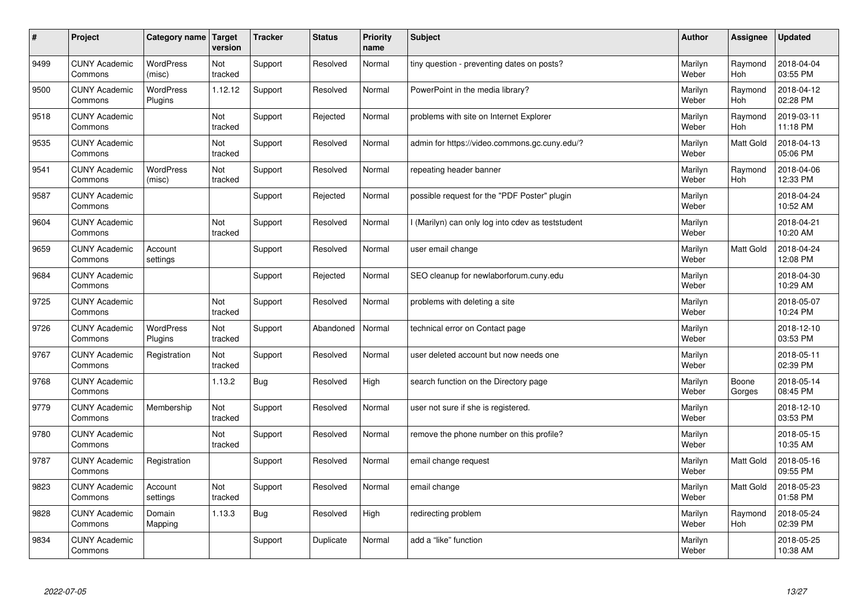| #    | Project                         | Category name   Target      | version        | <b>Tracker</b> | <b>Status</b> | <b>Priority</b><br>name | <b>Subject</b>                                    | <b>Author</b>    | <b>Assignee</b>       | <b>Updated</b>         |
|------|---------------------------------|-----------------------------|----------------|----------------|---------------|-------------------------|---------------------------------------------------|------------------|-----------------------|------------------------|
| 9499 | <b>CUNY Academic</b><br>Commons | <b>WordPress</b><br>(misc)  | Not<br>tracked | Support        | Resolved      | Normal                  | tiny question - preventing dates on posts?        | Marilyn<br>Weber | Raymond<br><b>Hoh</b> | 2018-04-04<br>03:55 PM |
| 9500 | <b>CUNY Academic</b><br>Commons | <b>WordPress</b><br>Plugins | 1.12.12        | Support        | Resolved      | Normal                  | PowerPoint in the media library?                  | Marilyn<br>Weber | Raymond<br>Hoh        | 2018-04-12<br>02:28 PM |
| 9518 | <b>CUNY Academic</b><br>Commons |                             | Not<br>tracked | Support        | Rejected      | Normal                  | problems with site on Internet Explorer           | Marilyn<br>Weber | Raymond<br><b>Hoh</b> | 2019-03-11<br>11:18 PM |
| 9535 | <b>CUNY Academic</b><br>Commons |                             | Not<br>tracked | Support        | Resolved      | Normal                  | admin for https://video.commons.gc.cuny.edu/?     | Marilyn<br>Weber | Matt Gold             | 2018-04-13<br>05:06 PM |
| 9541 | <b>CUNY Academic</b><br>Commons | <b>WordPress</b><br>(misc)  | Not<br>tracked | Support        | Resolved      | Normal                  | repeating header banner                           | Marilyn<br>Weber | Raymond<br><b>Hoh</b> | 2018-04-06<br>12:33 PM |
| 9587 | <b>CUNY Academic</b><br>Commons |                             |                | Support        | Rejected      | Normal                  | possible request for the "PDF Poster" plugin      | Marilyn<br>Weber |                       | 2018-04-24<br>10:52 AM |
| 9604 | <b>CUNY Academic</b><br>Commons |                             | Not<br>tracked | Support        | Resolved      | Normal                  | I (Marilyn) can only log into cdev as teststudent | Marilyn<br>Weber |                       | 2018-04-21<br>10:20 AM |
| 9659 | <b>CUNY Academic</b><br>Commons | Account<br>settings         |                | Support        | Resolved      | Normal                  | user email change                                 | Marilyn<br>Weber | Matt Gold             | 2018-04-24<br>12:08 PM |
| 9684 | <b>CUNY Academic</b><br>Commons |                             |                | Support        | Rejected      | Normal                  | SEO cleanup for newlaborforum.cuny.edu            | Marilyn<br>Weber |                       | 2018-04-30<br>10:29 AM |
| 9725 | <b>CUNY Academic</b><br>Commons |                             | Not<br>tracked | Support        | Resolved      | Normal                  | problems with deleting a site                     | Marilyn<br>Weber |                       | 2018-05-07<br>10:24 PM |
| 9726 | <b>CUNY Academic</b><br>Commons | <b>WordPress</b><br>Plugins | Not<br>tracked | Support        | Abandoned     | Normal                  | technical error on Contact page                   | Marilyn<br>Weber |                       | 2018-12-10<br>03:53 PM |
| 9767 | <b>CUNY Academic</b><br>Commons | Registration                | Not<br>tracked | Support        | Resolved      | Normal                  | user deleted account but now needs one            | Marilyn<br>Weber |                       | 2018-05-11<br>02:39 PM |
| 9768 | <b>CUNY Academic</b><br>Commons |                             | 1.13.2         | Bug            | Resolved      | High                    | search function on the Directory page             | Marilyn<br>Weber | Boone<br>Gorges       | 2018-05-14<br>08:45 PM |
| 9779 | <b>CUNY Academic</b><br>Commons | Membership                  | Not<br>tracked | Support        | Resolved      | Normal                  | user not sure if she is registered.               | Marilyn<br>Weber |                       | 2018-12-10<br>03:53 PM |
| 9780 | <b>CUNY Academic</b><br>Commons |                             | Not<br>tracked | Support        | Resolved      | Normal                  | remove the phone number on this profile?          | Marilyn<br>Weber |                       | 2018-05-15<br>10:35 AM |
| 9787 | <b>CUNY Academic</b><br>Commons | Registration                |                | Support        | Resolved      | Normal                  | email change request                              | Marilyn<br>Weber | Matt Gold             | 2018-05-16<br>09:55 PM |
| 9823 | <b>CUNY Academic</b><br>Commons | Account<br>settings         | Not<br>tracked | Support        | Resolved      | Normal                  | email change                                      | Marilyn<br>Weber | Matt Gold             | 2018-05-23<br>01:58 PM |
| 9828 | <b>CUNY Academic</b><br>Commons | Domain<br>Mapping           | 1.13.3         | <b>Bug</b>     | Resolved      | High                    | redirecting problem                               | Marilyn<br>Weber | Raymond<br><b>Hoh</b> | 2018-05-24<br>02:39 PM |
| 9834 | <b>CUNY Academic</b><br>Commons |                             |                | Support        | Duplicate     | Normal                  | add a "like" function                             | Marilyn<br>Weber |                       | 2018-05-25<br>10:38 AM |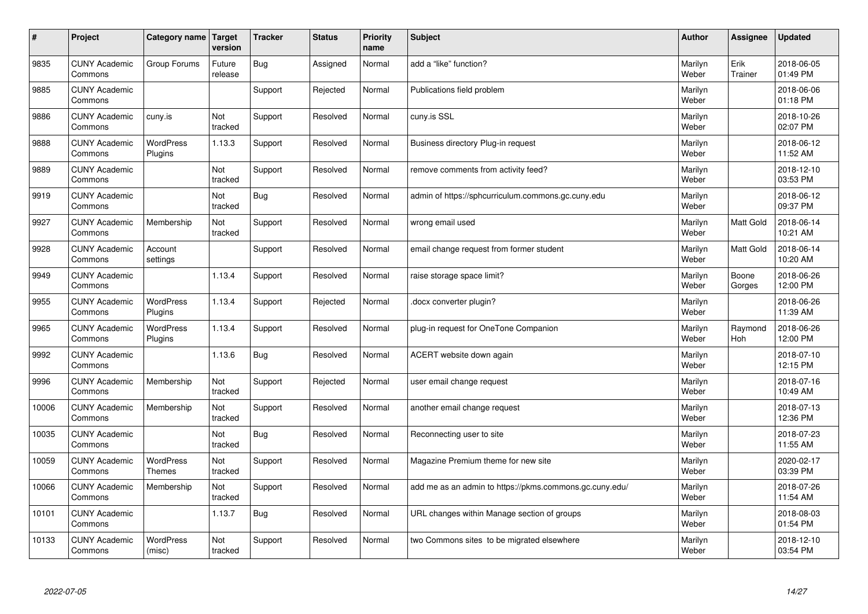| $\vert$ # | Project                         | Category name                     | Target<br>version | <b>Tracker</b> | <b>Status</b> | <b>Priority</b><br>name | <b>Subject</b>                                          | <b>Author</b>    | Assignee         | <b>Updated</b>         |
|-----------|---------------------------------|-----------------------------------|-------------------|----------------|---------------|-------------------------|---------------------------------------------------------|------------------|------------------|------------------------|
| 9835      | <b>CUNY Academic</b><br>Commons | Group Forums                      | Future<br>release | <b>Bug</b>     | Assigned      | Normal                  | add a "like" function?                                  | Marilyn<br>Weber | Erik<br>Trainer  | 2018-06-05<br>01:49 PM |
| 9885      | <b>CUNY Academic</b><br>Commons |                                   |                   | Support        | Rejected      | Normal                  | Publications field problem                              | Marilyn<br>Weber |                  | 2018-06-06<br>01:18 PM |
| 9886      | <b>CUNY Academic</b><br>Commons | cuny.is                           | Not<br>tracked    | Support        | Resolved      | Normal                  | cuny.is SSL                                             | Marilyn<br>Weber |                  | 2018-10-26<br>02:07 PM |
| 9888      | <b>CUNY Academic</b><br>Commons | <b>WordPress</b><br>Plugins       | 1.13.3            | Support        | Resolved      | Normal                  | Business directory Plug-in request                      | Marilyn<br>Weber |                  | 2018-06-12<br>11:52 AM |
| 9889      | <b>CUNY Academic</b><br>Commons |                                   | Not<br>tracked    | Support        | Resolved      | Normal                  | remove comments from activity feed?                     | Marilyn<br>Weber |                  | 2018-12-10<br>03:53 PM |
| 9919      | <b>CUNY Academic</b><br>Commons |                                   | Not<br>tracked    | Bug            | Resolved      | Normal                  | admin of https://sphcurriculum.commons.gc.cuny.edu      | Marilyn<br>Weber |                  | 2018-06-12<br>09:37 PM |
| 9927      | <b>CUNY Academic</b><br>Commons | Membership                        | Not<br>tracked    | Support        | Resolved      | Normal                  | wrong email used                                        | Marilyn<br>Weber | <b>Matt Gold</b> | 2018-06-14<br>10:21 AM |
| 9928      | <b>CUNY Academic</b><br>Commons | Account<br>settings               |                   | Support        | Resolved      | Normal                  | email change request from former student                | Marilyn<br>Weber | <b>Matt Gold</b> | 2018-06-14<br>10:20 AM |
| 9949      | <b>CUNY Academic</b><br>Commons |                                   | 1.13.4            | Support        | Resolved      | Normal                  | raise storage space limit?                              | Marilyn<br>Weber | Boone<br>Gorges  | 2018-06-26<br>12:00 PM |
| 9955      | <b>CUNY Academic</b><br>Commons | WordPress<br>Plugins              | 1.13.4            | Support        | Rejected      | Normal                  | docx converter plugin?                                  | Marilyn<br>Weber |                  | 2018-06-26<br>11:39 AM |
| 9965      | <b>CUNY Academic</b><br>Commons | <b>WordPress</b><br>Plugins       | 1.13.4            | Support        | Resolved      | Normal                  | plug-in request for OneTone Companion                   | Marilyn<br>Weber | Raymond<br>Hoh   | 2018-06-26<br>12:00 PM |
| 9992      | <b>CUNY Academic</b><br>Commons |                                   | 1.13.6            | Bug            | Resolved      | Normal                  | ACERT website down again                                | Marilyn<br>Weber |                  | 2018-07-10<br>12:15 PM |
| 9996      | <b>CUNY Academic</b><br>Commons | Membership                        | Not<br>tracked    | Support        | Rejected      | Normal                  | user email change request                               | Marilyn<br>Weber |                  | 2018-07-16<br>10:49 AM |
| 10006     | <b>CUNY Academic</b><br>Commons | Membership                        | Not<br>tracked    | Support        | Resolved      | Normal                  | another email change request                            | Marilyn<br>Weber |                  | 2018-07-13<br>12:36 PM |
| 10035     | <b>CUNY Academic</b><br>Commons |                                   | Not<br>tracked    | Bug            | Resolved      | Normal                  | Reconnecting user to site                               | Marilyn<br>Weber |                  | 2018-07-23<br>11:55 AM |
| 10059     | <b>CUNY Academic</b><br>Commons | <b>WordPress</b><br><b>Themes</b> | Not<br>tracked    | Support        | Resolved      | Normal                  | Magazine Premium theme for new site                     | Marilyn<br>Weber |                  | 2020-02-17<br>03:39 PM |
| 10066     | <b>CUNY Academic</b><br>Commons | Membership                        | Not<br>tracked    | Support        | Resolved      | Normal                  | add me as an admin to https://pkms.commons.gc.cuny.edu/ | Marilyn<br>Weber |                  | 2018-07-26<br>11:54 AM |
| 10101     | <b>CUNY Academic</b><br>Commons |                                   | 1.13.7            | <b>Bug</b>     | Resolved      | Normal                  | URL changes within Manage section of groups             | Marilyn<br>Weber |                  | 2018-08-03<br>01:54 PM |
| 10133     | <b>CUNY Academic</b><br>Commons | <b>WordPress</b><br>(misc)        | Not<br>tracked    | Support        | Resolved      | Normal                  | two Commons sites to be migrated elsewhere              | Marilyn<br>Weber |                  | 2018-12-10<br>03:54 PM |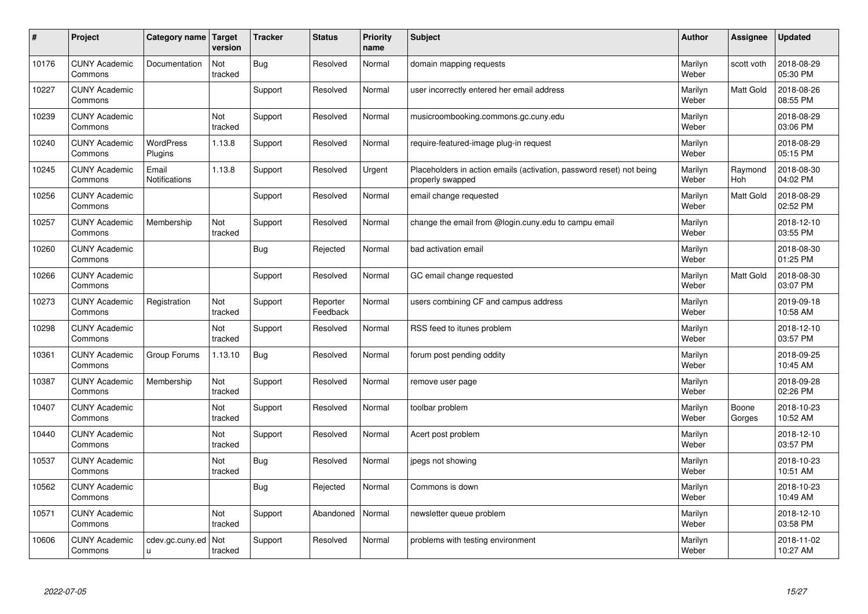| #     | Project                         | Category name                 | Target<br>version | <b>Tracker</b> | <b>Status</b>        | <b>Priority</b><br>name | <b>Subject</b>                                                                           | <b>Author</b>    | Assignee        | <b>Updated</b>         |
|-------|---------------------------------|-------------------------------|-------------------|----------------|----------------------|-------------------------|------------------------------------------------------------------------------------------|------------------|-----------------|------------------------|
| 10176 | <b>CUNY Academic</b><br>Commons | Documentation                 | Not<br>tracked    | <b>Bug</b>     | Resolved             | Normal                  | domain mapping requests                                                                  | Marilyn<br>Weber | scott voth      | 2018-08-29<br>05:30 PM |
| 10227 | <b>CUNY Academic</b><br>Commons |                               |                   | Support        | Resolved             | Normal                  | user incorrectly entered her email address                                               | Marilyn<br>Weber | Matt Gold       | 2018-08-26<br>08:55 PM |
| 10239 | <b>CUNY Academic</b><br>Commons |                               | Not<br>tracked    | Support        | Resolved             | Normal                  | musicroombooking.commons.gc.cuny.edu                                                     | Marilyn<br>Weber |                 | 2018-08-29<br>03:06 PM |
| 10240 | <b>CUNY Academic</b><br>Commons | <b>WordPress</b><br>Plugins   | 1.13.8            | Support        | Resolved             | Normal                  | require-featured-image plug-in request                                                   | Marilyn<br>Weber |                 | 2018-08-29<br>05:15 PM |
| 10245 | <b>CUNY Academic</b><br>Commons | Email<br><b>Notifications</b> | 1.13.8            | Support        | Resolved             | Urgent                  | Placeholders in action emails (activation, password reset) not being<br>properly swapped | Marilyn<br>Weber | Raymond<br>Hoh  | 2018-08-30<br>04:02 PM |
| 10256 | <b>CUNY Academic</b><br>Commons |                               |                   | Support        | Resolved             | Normal                  | email change requested                                                                   | Marilyn<br>Weber | Matt Gold       | 2018-08-29<br>02:52 PM |
| 10257 | <b>CUNY Academic</b><br>Commons | Membership                    | Not<br>tracked    | Support        | Resolved             | Normal                  | change the email from @login.cuny.edu to campu email                                     | Marilyn<br>Weber |                 | 2018-12-10<br>03:55 PM |
| 10260 | <b>CUNY Academic</b><br>Commons |                               |                   | Bug            | Rejected             | Normal                  | bad activation email                                                                     | Marilyn<br>Weber |                 | 2018-08-30<br>01:25 PM |
| 10266 | <b>CUNY Academic</b><br>Commons |                               |                   | Support        | Resolved             | Normal                  | GC email change requested                                                                | Marilyn<br>Weber | Matt Gold       | 2018-08-30<br>03:07 PM |
| 10273 | <b>CUNY Academic</b><br>Commons | Registration                  | Not<br>tracked    | Support        | Reporter<br>Feedback | Normal                  | users combining CF and campus address                                                    | Marilyn<br>Weber |                 | 2019-09-18<br>10:58 AM |
| 10298 | <b>CUNY Academic</b><br>Commons |                               | Not<br>tracked    | Support        | Resolved             | Normal                  | RSS feed to itunes problem                                                               | Marilyn<br>Weber |                 | 2018-12-10<br>03:57 PM |
| 10361 | <b>CUNY Academic</b><br>Commons | Group Forums                  | 1.13.10           | <b>Bug</b>     | Resolved             | Normal                  | forum post pending oddity                                                                | Marilyn<br>Weber |                 | 2018-09-25<br>10:45 AM |
| 10387 | <b>CUNY Academic</b><br>Commons | Membership                    | Not<br>tracked    | Support        | Resolved             | Normal                  | remove user page                                                                         | Marilyn<br>Weber |                 | 2018-09-28<br>02:26 PM |
| 10407 | <b>CUNY Academic</b><br>Commons |                               | Not<br>tracked    | Support        | Resolved             | Normal                  | toolbar problem                                                                          | Marilyn<br>Weber | Boone<br>Gorges | 2018-10-23<br>10:52 AM |
| 10440 | <b>CUNY Academic</b><br>Commons |                               | Not<br>tracked    | Support        | Resolved             | Normal                  | Acert post problem                                                                       | Marilyn<br>Weber |                 | 2018-12-10<br>03:57 PM |
| 10537 | <b>CUNY Academic</b><br>Commons |                               | Not<br>tracked    | <b>Bug</b>     | Resolved             | Normal                  | jpegs not showing                                                                        | Marilyn<br>Weber |                 | 2018-10-23<br>10:51 AM |
| 10562 | <b>CUNY Academic</b><br>Commons |                               |                   | Bug            | Rejected             | Normal                  | Commons is down                                                                          | Marilyn<br>Weber |                 | 2018-10-23<br>10:49 AM |
| 10571 | <b>CUNY Academic</b><br>Commons |                               | Not<br>tracked    | Support        | Abandoned            | Normal                  | newsletter queue problem                                                                 | Marilyn<br>Weber |                 | 2018-12-10<br>03:58 PM |
| 10606 | <b>CUNY Academic</b><br>Commons | cdev.gc.cuny.ed<br>u.         | Not<br>tracked    | Support        | Resolved             | Normal                  | problems with testing environment                                                        | Marilyn<br>Weber |                 | 2018-11-02<br>10:27 AM |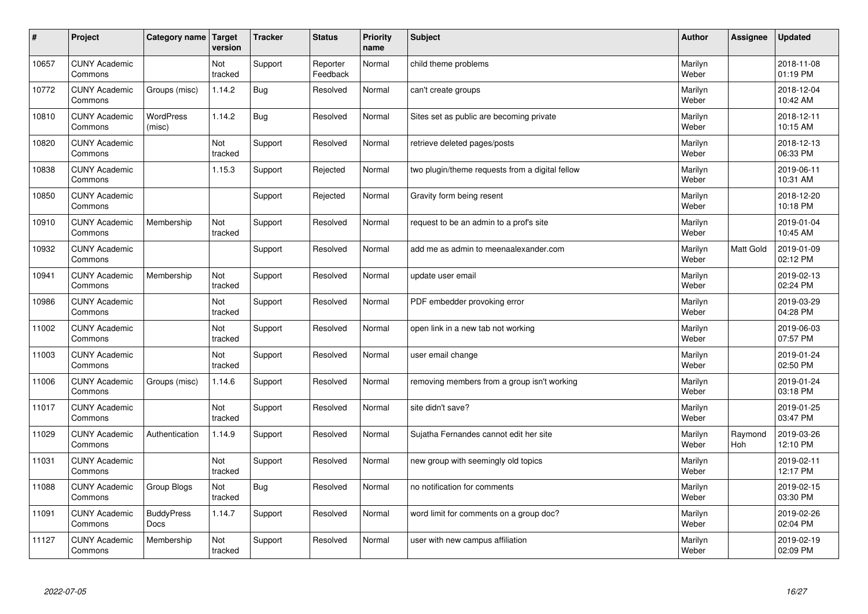| #     | Project                         | Category name   Target     | version        | <b>Tracker</b> | <b>Status</b>        | <b>Priority</b><br>name | <b>Subject</b>                                  | <b>Author</b>    | Assignee       | <b>Updated</b>         |
|-------|---------------------------------|----------------------------|----------------|----------------|----------------------|-------------------------|-------------------------------------------------|------------------|----------------|------------------------|
| 10657 | <b>CUNY Academic</b><br>Commons |                            | Not<br>tracked | Support        | Reporter<br>Feedback | Normal                  | child theme problems                            | Marilyn<br>Weber |                | 2018-11-08<br>01:19 PM |
| 10772 | <b>CUNY Academic</b><br>Commons | Groups (misc)              | 1.14.2         | <b>Bug</b>     | Resolved             | Normal                  | can't create groups                             | Marilyn<br>Weber |                | 2018-12-04<br>10:42 AM |
| 10810 | <b>CUNY Academic</b><br>Commons | <b>WordPress</b><br>(misc) | 1.14.2         | <b>Bug</b>     | Resolved             | Normal                  | Sites set as public are becoming private        | Marilyn<br>Weber |                | 2018-12-11<br>10:15 AM |
| 10820 | <b>CUNY Academic</b><br>Commons |                            | Not<br>tracked | Support        | Resolved             | Normal                  | retrieve deleted pages/posts                    | Marilyn<br>Weber |                | 2018-12-13<br>06:33 PM |
| 10838 | <b>CUNY Academic</b><br>Commons |                            | 1.15.3         | Support        | Rejected             | Normal                  | two plugin/theme requests from a digital fellow | Marilyn<br>Weber |                | 2019-06-11<br>10:31 AM |
| 10850 | <b>CUNY Academic</b><br>Commons |                            |                | Support        | Rejected             | Normal                  | Gravity form being resent                       | Marilyn<br>Weber |                | 2018-12-20<br>10:18 PM |
| 10910 | <b>CUNY Academic</b><br>Commons | Membership                 | Not<br>tracked | Support        | Resolved             | Normal                  | request to be an admin to a prof's site         | Marilyn<br>Weber |                | 2019-01-04<br>10:45 AM |
| 10932 | <b>CUNY Academic</b><br>Commons |                            |                | Support        | Resolved             | Normal                  | add me as admin to meenaalexander.com           | Marilyn<br>Weber | Matt Gold      | 2019-01-09<br>02:12 PM |
| 10941 | <b>CUNY Academic</b><br>Commons | Membership                 | Not<br>tracked | Support        | Resolved             | Normal                  | update user email                               | Marilyn<br>Weber |                | 2019-02-13<br>02:24 PM |
| 10986 | <b>CUNY Academic</b><br>Commons |                            | Not<br>tracked | Support        | Resolved             | Normal                  | PDF embedder provoking error                    | Marilyn<br>Weber |                | 2019-03-29<br>04:28 PM |
| 11002 | <b>CUNY Academic</b><br>Commons |                            | Not<br>tracked | Support        | Resolved             | Normal                  | open link in a new tab not working              | Marilyn<br>Weber |                | 2019-06-03<br>07:57 PM |
| 11003 | <b>CUNY Academic</b><br>Commons |                            | Not<br>tracked | Support        | Resolved             | Normal                  | user email change                               | Marilyn<br>Weber |                | 2019-01-24<br>02:50 PM |
| 11006 | <b>CUNY Academic</b><br>Commons | Groups (misc)              | 1.14.6         | Support        | Resolved             | Normal                  | removing members from a group isn't working     | Marilyn<br>Weber |                | 2019-01-24<br>03:18 PM |
| 11017 | <b>CUNY Academic</b><br>Commons |                            | Not<br>tracked | Support        | Resolved             | Normal                  | site didn't save?                               | Marilyn<br>Weber |                | 2019-01-25<br>03:47 PM |
| 11029 | <b>CUNY Academic</b><br>Commons | Authentication             | 1.14.9         | Support        | Resolved             | Normal                  | Sujatha Fernandes cannot edit her site          | Marilyn<br>Weber | Raymond<br>Hoh | 2019-03-26<br>12:10 PM |
| 11031 | <b>CUNY Academic</b><br>Commons |                            | Not<br>tracked | Support        | Resolved             | Normal                  | new group with seemingly old topics             | Marilyn<br>Weber |                | 2019-02-11<br>12:17 PM |
| 11088 | <b>CUNY Academic</b><br>Commons | Group Blogs                | Not<br>tracked | <b>Bug</b>     | Resolved             | Normal                  | no notification for comments                    | Marilyn<br>Weber |                | 2019-02-15<br>03:30 PM |
| 11091 | <b>CUNY Academic</b><br>Commons | <b>BuddyPress</b><br>Docs  | 1.14.7         | Support        | Resolved             | Normal                  | word limit for comments on a group doc?         | Marilyn<br>Weber |                | 2019-02-26<br>02:04 PM |
| 11127 | <b>CUNY Academic</b><br>Commons | Membership                 | Not<br>tracked | Support        | Resolved             | Normal                  | user with new campus affiliation                | Marilyn<br>Weber |                | 2019-02-19<br>02:09 PM |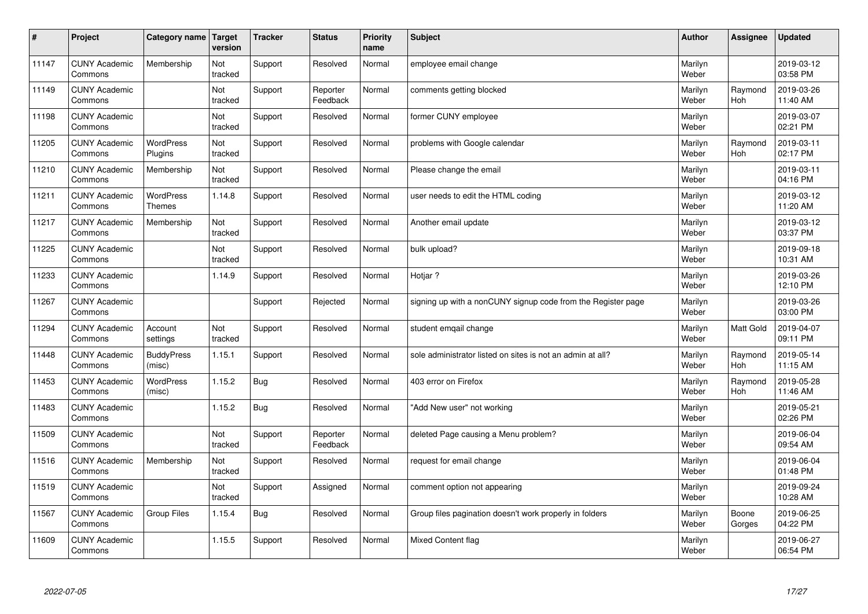| $\vert$ # | Project                         | Category name   Target            | version        | <b>Tracker</b> | <b>Status</b>        | <b>Priority</b><br>name | <b>Subject</b>                                               | <b>Author</b>    | <b>Assignee</b>       | <b>Updated</b>         |
|-----------|---------------------------------|-----------------------------------|----------------|----------------|----------------------|-------------------------|--------------------------------------------------------------|------------------|-----------------------|------------------------|
| 11147     | <b>CUNY Academic</b><br>Commons | Membership                        | Not<br>tracked | Support        | Resolved             | Normal                  | employee email change                                        | Marilyn<br>Weber |                       | 2019-03-12<br>03:58 PM |
| 11149     | <b>CUNY Academic</b><br>Commons |                                   | Not<br>tracked | Support        | Reporter<br>Feedback | Normal                  | comments getting blocked                                     | Marilyn<br>Weber | Raymond<br><b>Hoh</b> | 2019-03-26<br>11:40 AM |
| 11198     | <b>CUNY Academic</b><br>Commons |                                   | Not<br>tracked | Support        | Resolved             | Normal                  | former CUNY employee                                         | Marilyn<br>Weber |                       | 2019-03-07<br>02:21 PM |
| 11205     | <b>CUNY Academic</b><br>Commons | <b>WordPress</b><br>Plugins       | Not<br>tracked | Support        | Resolved             | Normal                  | problems with Google calendar                                | Marilyn<br>Weber | Raymond<br>Hoh        | 2019-03-11<br>02:17 PM |
| 11210     | <b>CUNY Academic</b><br>Commons | Membership                        | Not<br>tracked | Support        | Resolved             | Normal                  | Please change the email                                      | Marilyn<br>Weber |                       | 2019-03-11<br>04:16 PM |
| 11211     | <b>CUNY Academic</b><br>Commons | <b>WordPress</b><br><b>Themes</b> | 1.14.8         | Support        | Resolved             | Normal                  | user needs to edit the HTML coding                           | Marilyn<br>Weber |                       | 2019-03-12<br>11:20 AM |
| 11217     | <b>CUNY Academic</b><br>Commons | Membership                        | Not<br>tracked | Support        | Resolved             | Normal                  | Another email update                                         | Marilyn<br>Weber |                       | 2019-03-12<br>03:37 PM |
| 11225     | <b>CUNY Academic</b><br>Commons |                                   | Not<br>tracked | Support        | Resolved             | Normal                  | bulk upload?                                                 | Marilyn<br>Weber |                       | 2019-09-18<br>10:31 AM |
| 11233     | <b>CUNY Academic</b><br>Commons |                                   | 1.14.9         | Support        | Resolved             | Normal                  | Hotjar ?                                                     | Marilyn<br>Weber |                       | 2019-03-26<br>12:10 PM |
| 11267     | <b>CUNY Academic</b><br>Commons |                                   |                | Support        | Rejected             | Normal                  | signing up with a nonCUNY signup code from the Register page | Marilyn<br>Weber |                       | 2019-03-26<br>03:00 PM |
| 11294     | <b>CUNY Academic</b><br>Commons | Account<br>settings               | Not<br>tracked | Support        | Resolved             | Normal                  | student emgail change                                        | Marilyn<br>Weber | Matt Gold             | 2019-04-07<br>09:11 PM |
| 11448     | <b>CUNY Academic</b><br>Commons | <b>BuddyPress</b><br>(misc)       | 1.15.1         | Support        | Resolved             | Normal                  | sole administrator listed on sites is not an admin at all?   | Marilyn<br>Weber | Raymond<br>Hoh        | 2019-05-14<br>11:15 AM |
| 11453     | <b>CUNY Academic</b><br>Commons | <b>WordPress</b><br>(misc)        | 1.15.2         | Bug            | Resolved             | Normal                  | 403 error on Firefox                                         | Marilyn<br>Weber | Raymond<br>Hoh        | 2019-05-28<br>11:46 AM |
| 11483     | <b>CUNY Academic</b><br>Commons |                                   | 1.15.2         | <b>Bug</b>     | Resolved             | Normal                  | "Add New user" not working                                   | Marilyn<br>Weber |                       | 2019-05-21<br>02:26 PM |
| 11509     | <b>CUNY Academic</b><br>Commons |                                   | Not<br>tracked | Support        | Reporter<br>Feedback | Normal                  | deleted Page causing a Menu problem?                         | Marilyn<br>Weber |                       | 2019-06-04<br>09:54 AM |
| 11516     | <b>CUNY Academic</b><br>Commons | Membership                        | Not<br>tracked | Support        | Resolved             | Normal                  | request for email change                                     | Marilyn<br>Weber |                       | 2019-06-04<br>01:48 PM |
| 11519     | <b>CUNY Academic</b><br>Commons |                                   | Not<br>tracked | Support        | Assigned             | Normal                  | comment option not appearing                                 | Marilyn<br>Weber |                       | 2019-09-24<br>10:28 AM |
| 11567     | <b>CUNY Academic</b><br>Commons | <b>Group Files</b>                | 1.15.4         | Bug            | Resolved             | Normal                  | Group files pagination doesn't work properly in folders      | Marilyn<br>Weber | Boone<br>Gorges       | 2019-06-25<br>04:22 PM |
| 11609     | <b>CUNY Academic</b><br>Commons |                                   | 1.15.5         | Support        | Resolved             | Normal                  | <b>Mixed Content flag</b>                                    | Marilyn<br>Weber |                       | 2019-06-27<br>06:54 PM |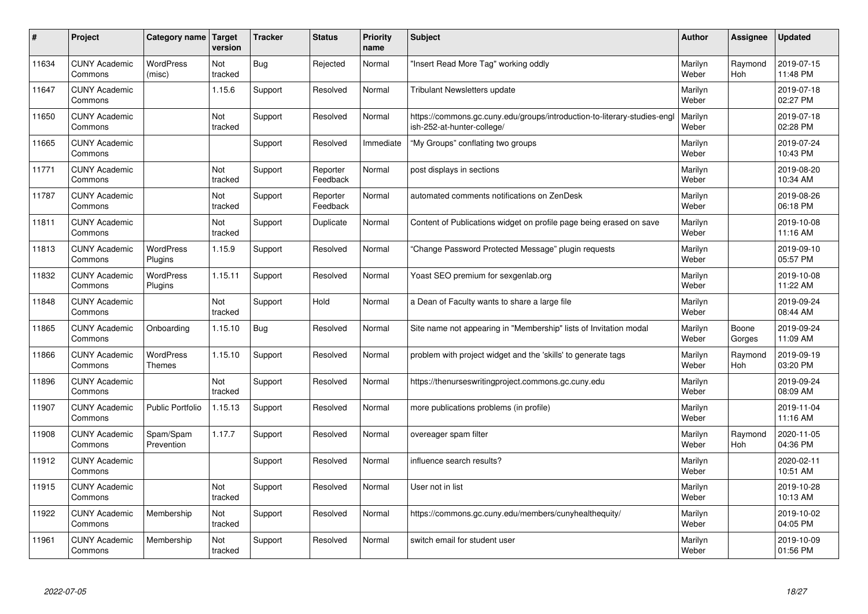| #     | Project                         | Category name               | Target<br>version | <b>Tracker</b> | <b>Status</b>        | Priority<br>name | <b>Subject</b>                                                                                        | <b>Author</b>    | Assignee        | <b>Updated</b>         |
|-------|---------------------------------|-----------------------------|-------------------|----------------|----------------------|------------------|-------------------------------------------------------------------------------------------------------|------------------|-----------------|------------------------|
| 11634 | <b>CUNY Academic</b><br>Commons | <b>WordPress</b><br>(misc)  | Not<br>tracked    | <b>Bug</b>     | Rejected             | Normal           | 'Insert Read More Tag" working oddly                                                                  | Marilyn<br>Weber | Raymond<br>Hoh  | 2019-07-15<br>11:48 PM |
| 11647 | <b>CUNY Academic</b><br>Commons |                             | 1.15.6            | Support        | Resolved             | Normal           | <b>Tribulant Newsletters update</b>                                                                   | Marilyn<br>Weber |                 | 2019-07-18<br>02:27 PM |
| 11650 | <b>CUNY Academic</b><br>Commons |                             | Not<br>tracked    | Support        | Resolved             | Normal           | https://commons.gc.cuny.edu/groups/introduction-to-literary-studies-eng<br>ish-252-at-hunter-college/ | Marilyn<br>Weber |                 | 2019-07-18<br>02:28 PM |
| 11665 | <b>CUNY Academic</b><br>Commons |                             |                   | Support        | Resolved             | Immediate        | "My Groups" conflating two groups                                                                     | Marilyn<br>Weber |                 | 2019-07-24<br>10:43 PM |
| 11771 | <b>CUNY Academic</b><br>Commons |                             | Not<br>tracked    | Support        | Reporter<br>Feedback | Normal           | post displays in sections                                                                             | Marilyn<br>Weber |                 | 2019-08-20<br>10:34 AM |
| 11787 | <b>CUNY Academic</b><br>Commons |                             | Not<br>tracked    | Support        | Reporter<br>Feedback | Normal           | automated comments notifications on ZenDesk                                                           | Marilyn<br>Weber |                 | 2019-08-26<br>06:18 PM |
| 11811 | <b>CUNY Academic</b><br>Commons |                             | Not<br>tracked    | Support        | Duplicate            | Normal           | Content of Publications widget on profile page being erased on save                                   | Marilyn<br>Weber |                 | 2019-10-08<br>11:16 AM |
| 11813 | <b>CUNY Academic</b><br>Commons | <b>WordPress</b><br>Plugins | 1.15.9            | Support        | Resolved             | Normal           | "Change Password Protected Message" plugin requests                                                   | Marilyn<br>Weber |                 | 2019-09-10<br>05:57 PM |
| 11832 | <b>CUNY Academic</b><br>Commons | <b>WordPress</b><br>Plugins | 1.15.11           | Support        | Resolved             | Normal           | Yoast SEO premium for sexgenlab.org                                                                   | Marilyn<br>Weber |                 | 2019-10-08<br>11:22 AM |
| 11848 | <b>CUNY Academic</b><br>Commons |                             | Not<br>tracked    | Support        | Hold                 | Normal           | a Dean of Faculty wants to share a large file                                                         | Marilyn<br>Weber |                 | 2019-09-24<br>08:44 AM |
| 11865 | <b>CUNY Academic</b><br>Commons | Onboarding                  | 1.15.10           | Bug            | Resolved             | Normal           | Site name not appearing in "Membership" lists of Invitation modal                                     | Marilyn<br>Weber | Boone<br>Gorges | 2019-09-24<br>11:09 AM |
| 11866 | <b>CUNY Academic</b><br>Commons | <b>WordPress</b><br>Themes  | 1.15.10           | Support        | Resolved             | Normal           | problem with project widget and the 'skills' to generate tags                                         | Marilyn<br>Weber | Raymond<br>Hoh  | 2019-09-19<br>03:20 PM |
| 11896 | <b>CUNY Academic</b><br>Commons |                             | Not<br>tracked    | Support        | Resolved             | Normal           | https://thenurseswritingproject.commons.gc.cuny.edu                                                   | Marilyn<br>Weber |                 | 2019-09-24<br>08:09 AM |
| 11907 | <b>CUNY Academic</b><br>Commons | Public Portfolio            | 1.15.13           | Support        | Resolved             | Normal           | more publications problems (in profile)                                                               | Marilyn<br>Weber |                 | 2019-11-04<br>11:16 AM |
| 11908 | <b>CUNY Academic</b><br>Commons | Spam/Spam<br>Prevention     | 1.17.7            | Support        | Resolved             | Normal           | overeager spam filter                                                                                 | Marilyn<br>Weber | Raymond<br>Hoh  | 2020-11-05<br>04:36 PM |
| 11912 | <b>CUNY Academic</b><br>Commons |                             |                   | Support        | Resolved             | Normal           | influence search results?                                                                             | Marilyn<br>Weber |                 | 2020-02-11<br>10:51 AM |
| 11915 | <b>CUNY Academic</b><br>Commons |                             | Not<br>tracked    | Support        | Resolved             | Normal           | User not in list                                                                                      | Marilyn<br>Weber |                 | 2019-10-28<br>10:13 AM |
| 11922 | <b>CUNY Academic</b><br>Commons | Membership                  | Not<br>tracked    | Support        | Resolved             | Normal           | https://commons.gc.cuny.edu/members/cunyhealthequity/                                                 | Marilyn<br>Weber |                 | 2019-10-02<br>04:05 PM |
| 11961 | <b>CUNY Academic</b><br>Commons | Membership                  | Not<br>tracked    | Support        | Resolved             | Normal           | switch email for student user                                                                         | Marilyn<br>Weber |                 | 2019-10-09<br>01:56 PM |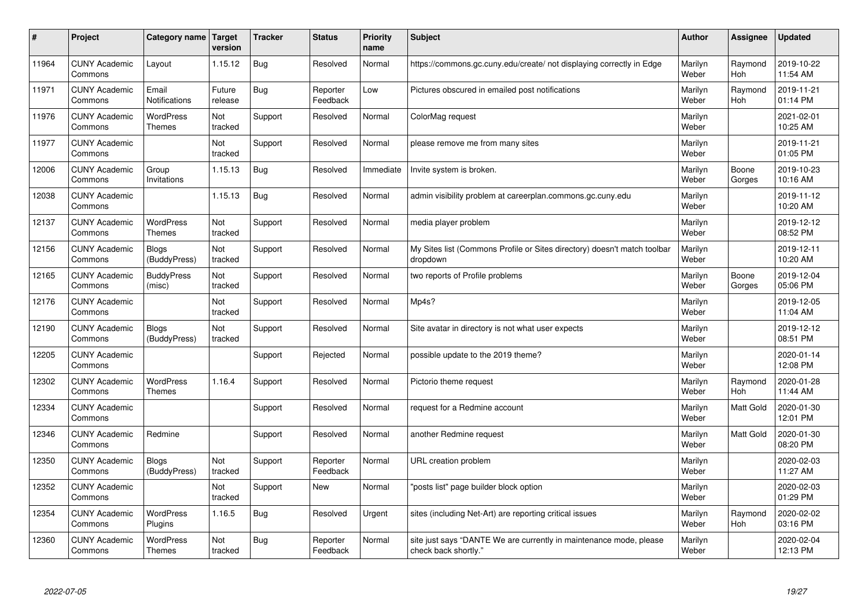| #     | Project                         | Category name   Target            | version           | <b>Tracker</b> | <b>Status</b>        | <b>Priority</b><br>name | <b>Subject</b>                                                                             | <b>Author</b>    | <b>Assignee</b> | <b>Updated</b>         |
|-------|---------------------------------|-----------------------------------|-------------------|----------------|----------------------|-------------------------|--------------------------------------------------------------------------------------------|------------------|-----------------|------------------------|
| 11964 | <b>CUNY Academic</b><br>Commons | Layout                            | 1.15.12           | <b>Bug</b>     | Resolved             | Normal                  | https://commons.gc.cuny.edu/create/ not displaying correctly in Edge                       | Marilyn<br>Weber | Raymond<br>Hoh  | 2019-10-22<br>11:54 AM |
| 11971 | <b>CUNY Academic</b><br>Commons | Email<br>Notifications            | Future<br>release | Bug            | Reporter<br>Feedback | Low                     | Pictures obscured in emailed post notifications                                            | Marilyn<br>Weber | Raymond<br>Hoh  | 2019-11-21<br>01:14 PM |
| 11976 | <b>CUNY Academic</b><br>Commons | WordPress<br>Themes               | Not<br>tracked    | Support        | Resolved             | Normal                  | ColorMag request                                                                           | Marilyn<br>Weber |                 | 2021-02-01<br>10:25 AM |
| 11977 | <b>CUNY Academic</b><br>Commons |                                   | Not<br>tracked    | Support        | Resolved             | Normal                  | please remove me from many sites                                                           | Marilyn<br>Weber |                 | 2019-11-21<br>01:05 PM |
| 12006 | <b>CUNY Academic</b><br>Commons | Group<br>Invitations              | 1.15.13           | <b>Bug</b>     | Resolved             | Immediate               | Invite system is broken.                                                                   | Marilyn<br>Weber | Boone<br>Gorges | 2019-10-23<br>10:16 AM |
| 12038 | <b>CUNY Academic</b><br>Commons |                                   | 1.15.13           | Bug            | Resolved             | Normal                  | admin visibility problem at careerplan.commons.gc.cuny.edu                                 | Marilyn<br>Weber |                 | 2019-11-12<br>10:20 AM |
| 12137 | <b>CUNY Academic</b><br>Commons | <b>WordPress</b><br><b>Themes</b> | Not<br>tracked    | Support        | Resolved             | Normal                  | media player problem                                                                       | Marilyn<br>Weber |                 | 2019-12-12<br>08:52 PM |
| 12156 | <b>CUNY Academic</b><br>Commons | <b>Blogs</b><br>(BuddyPress)      | Not<br>tracked    | Support        | Resolved             | Normal                  | My Sites list (Commons Profile or Sites directory) doesn't match toolbar<br>dropdown       | Marilyn<br>Weber |                 | 2019-12-11<br>10:20 AM |
| 12165 | <b>CUNY Academic</b><br>Commons | <b>BuddyPress</b><br>(misc)       | Not<br>tracked    | Support        | Resolved             | Normal                  | two reports of Profile problems                                                            | Marilyn<br>Weber | Boone<br>Gorges | 2019-12-04<br>05:06 PM |
| 12176 | <b>CUNY Academic</b><br>Commons |                                   | Not<br>tracked    | Support        | Resolved             | Normal                  | Mp4s?                                                                                      | Marilyn<br>Weber |                 | 2019-12-05<br>11:04 AM |
| 12190 | <b>CUNY Academic</b><br>Commons | <b>Blogs</b><br>(BuddyPress)      | Not<br>tracked    | Support        | Resolved             | Normal                  | Site avatar in directory is not what user expects                                          | Marilyn<br>Weber |                 | 2019-12-12<br>08:51 PM |
| 12205 | <b>CUNY Academic</b><br>Commons |                                   |                   | Support        | Rejected             | Normal                  | possible update to the 2019 theme?                                                         | Marilyn<br>Weber |                 | 2020-01-14<br>12:08 PM |
| 12302 | <b>CUNY Academic</b><br>Commons | <b>WordPress</b><br><b>Themes</b> | 1.16.4            | Support        | Resolved             | Normal                  | Pictorio theme request                                                                     | Marilyn<br>Weber | Raymond<br>Hoh  | 2020-01-28<br>11:44 AM |
| 12334 | <b>CUNY Academic</b><br>Commons |                                   |                   | Support        | Resolved             | Normal                  | request for a Redmine account                                                              | Marilyn<br>Weber | Matt Gold       | 2020-01-30<br>12:01 PM |
| 12346 | <b>CUNY Academic</b><br>Commons | Redmine                           |                   | Support        | Resolved             | Normal                  | another Redmine request                                                                    | Marilyn<br>Weber | Matt Gold       | 2020-01-30<br>08:20 PM |
| 12350 | <b>CUNY Academic</b><br>Commons | <b>Blogs</b><br>(BuddyPress)      | Not<br>tracked    | Support        | Reporter<br>Feedback | Normal                  | URL creation problem                                                                       | Marilyn<br>Weber |                 | 2020-02-03<br>11:27 AM |
| 12352 | <b>CUNY Academic</b><br>Commons |                                   | Not<br>tracked    | Support        | <b>New</b>           | Normal                  | 'posts list" page builder block option                                                     | Marilyn<br>Weber |                 | 2020-02-03<br>01:29 PM |
| 12354 | <b>CUNY Academic</b><br>Commons | <b>WordPress</b><br>Plugins       | 1.16.5            | <b>Bug</b>     | Resolved             | Urgent                  | sites (including Net-Art) are reporting critical issues                                    | Marilyn<br>Weber | Raymond<br>Hoh  | 2020-02-02<br>03:16 PM |
| 12360 | <b>CUNY Academic</b><br>Commons | WordPress<br><b>Themes</b>        | Not<br>tracked    | Bug            | Reporter<br>Feedback | Normal                  | site just says "DANTE We are currently in maintenance mode, please<br>check back shortly." | Marilyn<br>Weber |                 | 2020-02-04<br>12:13 PM |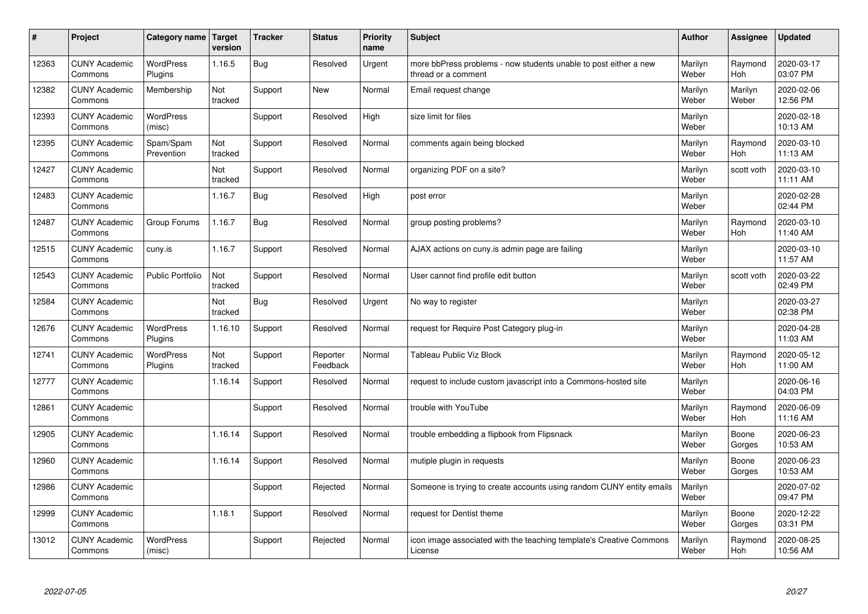| #     | Project                         | Category name   Target      | version        | <b>Tracker</b> | <b>Status</b>        | <b>Priority</b><br>name | <b>Subject</b>                                                                          | <b>Author</b>    | <b>Assignee</b>       | <b>Updated</b>         |
|-------|---------------------------------|-----------------------------|----------------|----------------|----------------------|-------------------------|-----------------------------------------------------------------------------------------|------------------|-----------------------|------------------------|
| 12363 | <b>CUNY Academic</b><br>Commons | <b>WordPress</b><br>Plugins | 1.16.5         | Bug            | Resolved             | Urgent                  | more bbPress problems - now students unable to post either a new<br>thread or a comment | Marilyn<br>Weber | Raymond<br>Hoh        | 2020-03-17<br>03:07 PM |
| 12382 | <b>CUNY Academic</b><br>Commons | Membership                  | Not<br>tracked | Support        | <b>New</b>           | Normal                  | Email request change                                                                    | Marilyn<br>Weber | Marilyn<br>Weber      | 2020-02-06<br>12:56 PM |
| 12393 | <b>CUNY Academic</b><br>Commons | WordPress<br>(misc)         |                | Support        | Resolved             | High                    | size limit for files                                                                    | Marilyn<br>Weber |                       | 2020-02-18<br>10:13 AM |
| 12395 | <b>CUNY Academic</b><br>Commons | Spam/Spam<br>Prevention     | Not<br>tracked | Support        | Resolved             | Normal                  | comments again being blocked                                                            | Marilyn<br>Weber | Raymond<br>Hoh        | 2020-03-10<br>11:13 AM |
| 12427 | <b>CUNY Academic</b><br>Commons |                             | Not<br>tracked | Support        | Resolved             | Normal                  | organizing PDF on a site?                                                               | Marilyn<br>Weber | scott voth            | 2020-03-10<br>11:11 AM |
| 12483 | <b>CUNY Academic</b><br>Commons |                             | 1.16.7         | Bug            | Resolved             | High                    | post error                                                                              | Marilyn<br>Weber |                       | 2020-02-28<br>02:44 PM |
| 12487 | <b>CUNY Academic</b><br>Commons | Group Forums                | 1.16.7         | <b>Bug</b>     | Resolved             | Normal                  | group posting problems?                                                                 | Marilyn<br>Weber | Raymond<br><b>Hoh</b> | 2020-03-10<br>11:40 AM |
| 12515 | <b>CUNY Academic</b><br>Commons | cuny.is                     | 1.16.7         | Support        | Resolved             | Normal                  | AJAX actions on cuny.is admin page are failing                                          | Marilyn<br>Weber |                       | 2020-03-10<br>11:57 AM |
| 12543 | <b>CUNY Academic</b><br>Commons | <b>Public Portfolio</b>     | Not<br>tracked | Support        | Resolved             | Normal                  | User cannot find profile edit button                                                    | Marilyn<br>Weber | scott voth            | 2020-03-22<br>02:49 PM |
| 12584 | <b>CUNY Academic</b><br>Commons |                             | Not<br>tracked | Bug            | Resolved             | Urgent                  | No way to register                                                                      | Marilyn<br>Weber |                       | 2020-03-27<br>02:38 PM |
| 12676 | <b>CUNY Academic</b><br>Commons | <b>WordPress</b><br>Plugins | 1.16.10        | Support        | Resolved             | Normal                  | request for Require Post Category plug-in                                               | Marilyn<br>Weber |                       | 2020-04-28<br>11:03 AM |
| 12741 | <b>CUNY Academic</b><br>Commons | <b>WordPress</b><br>Plugins | Not<br>tracked | Support        | Reporter<br>Feedback | Normal                  | Tableau Public Viz Block                                                                | Marilyn<br>Weber | Raymond<br>Hoh        | 2020-05-12<br>11:00 AM |
| 12777 | <b>CUNY Academic</b><br>Commons |                             | 1.16.14        | Support        | Resolved             | Normal                  | request to include custom javascript into a Commons-hosted site                         | Marilyn<br>Weber |                       | 2020-06-16<br>04:03 PM |
| 12861 | <b>CUNY Academic</b><br>Commons |                             |                | Support        | Resolved             | Normal                  | trouble with YouTube                                                                    | Marilyn<br>Weber | Raymond<br>Hoh        | 2020-06-09<br>11:16 AM |
| 12905 | <b>CUNY Academic</b><br>Commons |                             | 1.16.14        | Support        | Resolved             | Normal                  | trouble embedding a flipbook from Flipsnack                                             | Marilyn<br>Weber | Boone<br>Gorges       | 2020-06-23<br>10:53 AM |
| 12960 | <b>CUNY Academic</b><br>Commons |                             | 1.16.14        | Support        | Resolved             | Normal                  | mutiple plugin in requests                                                              | Marilyn<br>Weber | Boone<br>Gorges       | 2020-06-23<br>10:53 AM |
| 12986 | <b>CUNY Academic</b><br>Commons |                             |                | Support        | Rejected             | Normal                  | Someone is trying to create accounts using random CUNY entity emails                    | Marilyn<br>Weber |                       | 2020-07-02<br>09:47 PM |
| 12999 | <b>CUNY Academic</b><br>Commons |                             | 1.18.1         | Support        | Resolved             | Normal                  | request for Dentist theme                                                               | Marilyn<br>Weber | Boone<br>Gorges       | 2020-12-22<br>03:31 PM |
| 13012 | <b>CUNY Academic</b><br>Commons | <b>WordPress</b><br>(misc)  |                | Support        | Rejected             | Normal                  | icon image associated with the teaching template's Creative Commons<br>License          | Marilyn<br>Weber | Raymond<br>Hoh        | 2020-08-25<br>10:56 AM |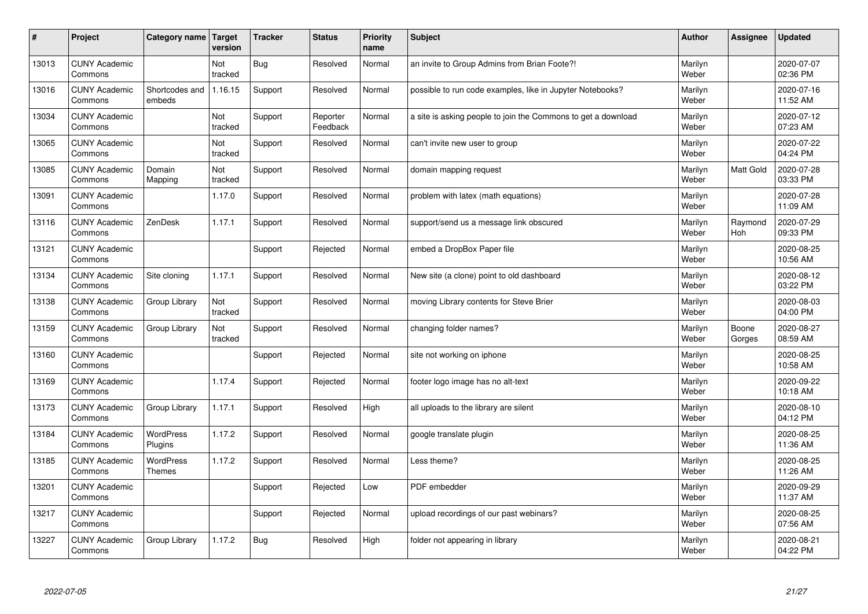| $\pmb{\#}$ | Project                         | Category name                     | Target<br>version | <b>Tracker</b> | <b>Status</b>        | <b>Priority</b><br>name | <b>Subject</b>                                                | <b>Author</b>    | Assignee        | <b>Updated</b>         |
|------------|---------------------------------|-----------------------------------|-------------------|----------------|----------------------|-------------------------|---------------------------------------------------------------|------------------|-----------------|------------------------|
| 13013      | <b>CUNY Academic</b><br>Commons |                                   | Not<br>tracked    | <b>Bug</b>     | Resolved             | Normal                  | an invite to Group Admins from Brian Foote?!                  | Marilyn<br>Weber |                 | 2020-07-07<br>02:36 PM |
| 13016      | <b>CUNY Academic</b><br>Commons | Shortcodes and<br>embeds          | 1.16.15           | Support        | Resolved             | Normal                  | possible to run code examples, like in Jupyter Notebooks?     | Marilyn<br>Weber |                 | 2020-07-16<br>11:52 AM |
| 13034      | <b>CUNY Academic</b><br>Commons |                                   | Not<br>tracked    | Support        | Reporter<br>Feedback | Normal                  | a site is asking people to join the Commons to get a download | Marilyn<br>Weber |                 | 2020-07-12<br>07:23 AM |
| 13065      | <b>CUNY Academic</b><br>Commons |                                   | Not<br>tracked    | Support        | Resolved             | Normal                  | can't invite new user to group                                | Marilyn<br>Weber |                 | 2020-07-22<br>04:24 PM |
| 13085      | <b>CUNY Academic</b><br>Commons | Domain<br>Mapping                 | Not<br>tracked    | Support        | Resolved             | Normal                  | domain mapping request                                        | Marilyn<br>Weber | Matt Gold       | 2020-07-28<br>03:33 PM |
| 13091      | <b>CUNY Academic</b><br>Commons |                                   | 1.17.0            | Support        | Resolved             | Normal                  | problem with latex (math equations)                           | Marilyn<br>Weber |                 | 2020-07-28<br>11:09 AM |
| 13116      | <b>CUNY Academic</b><br>Commons | ZenDesk                           | 1.17.1            | Support        | Resolved             | Normal                  | support/send us a message link obscured                       | Marilyn<br>Weber | Raymond<br>Hoh  | 2020-07-29<br>09:33 PM |
| 13121      | <b>CUNY Academic</b><br>Commons |                                   |                   | Support        | Rejected             | Normal                  | embed a DropBox Paper file                                    | Marilyn<br>Weber |                 | 2020-08-25<br>10:56 AM |
| 13134      | <b>CUNY Academic</b><br>Commons | Site cloning                      | 1.17.1            | Support        | Resolved             | Normal                  | New site (a clone) point to old dashboard                     | Marilyn<br>Weber |                 | 2020-08-12<br>03:22 PM |
| 13138      | <b>CUNY Academic</b><br>Commons | Group Library                     | Not<br>tracked    | Support        | Resolved             | Normal                  | moving Library contents for Steve Brier                       | Marilyn<br>Weber |                 | 2020-08-03<br>04:00 PM |
| 13159      | <b>CUNY Academic</b><br>Commons | Group Library                     | Not<br>tracked    | Support        | Resolved             | Normal                  | changing folder names?                                        | Marilyn<br>Weber | Boone<br>Gorges | 2020-08-27<br>08:59 AM |
| 13160      | <b>CUNY Academic</b><br>Commons |                                   |                   | Support        | Rejected             | Normal                  | site not working on iphone                                    | Marilyn<br>Weber |                 | 2020-08-25<br>10:58 AM |
| 13169      | <b>CUNY Academic</b><br>Commons |                                   | 1.17.4            | Support        | Rejected             | Normal                  | footer logo image has no alt-text                             | Marilyn<br>Weber |                 | 2020-09-22<br>10:18 AM |
| 13173      | <b>CUNY Academic</b><br>Commons | Group Library                     | 1.17.1            | Support        | Resolved             | High                    | all uploads to the library are silent                         | Marilyn<br>Weber |                 | 2020-08-10<br>04:12 PM |
| 13184      | <b>CUNY Academic</b><br>Commons | <b>WordPress</b><br>Plugins       | 1.17.2            | Support        | Resolved             | Normal                  | google translate plugin                                       | Marilyn<br>Weber |                 | 2020-08-25<br>11:36 AM |
| 13185      | <b>CUNY Academic</b><br>Commons | <b>WordPress</b><br><b>Themes</b> | 1.17.2            | Support        | Resolved             | Normal                  | Less theme?                                                   | Marilyn<br>Weber |                 | 2020-08-25<br>11:26 AM |
| 13201      | <b>CUNY Academic</b><br>Commons |                                   |                   | Support        | Rejected             | Low                     | <b>PDF</b> embedder                                           | Marilyn<br>Weber |                 | 2020-09-29<br>11:37 AM |
| 13217      | <b>CUNY Academic</b><br>Commons |                                   |                   | Support        | Rejected             | Normal                  | upload recordings of our past webinars?                       | Marilyn<br>Weber |                 | 2020-08-25<br>07:56 AM |
| 13227      | <b>CUNY Academic</b><br>Commons | Group Library                     | 1.17.2            | Bug            | Resolved             | High                    | folder not appearing in library                               | Marilyn<br>Weber |                 | 2020-08-21<br>04:22 PM |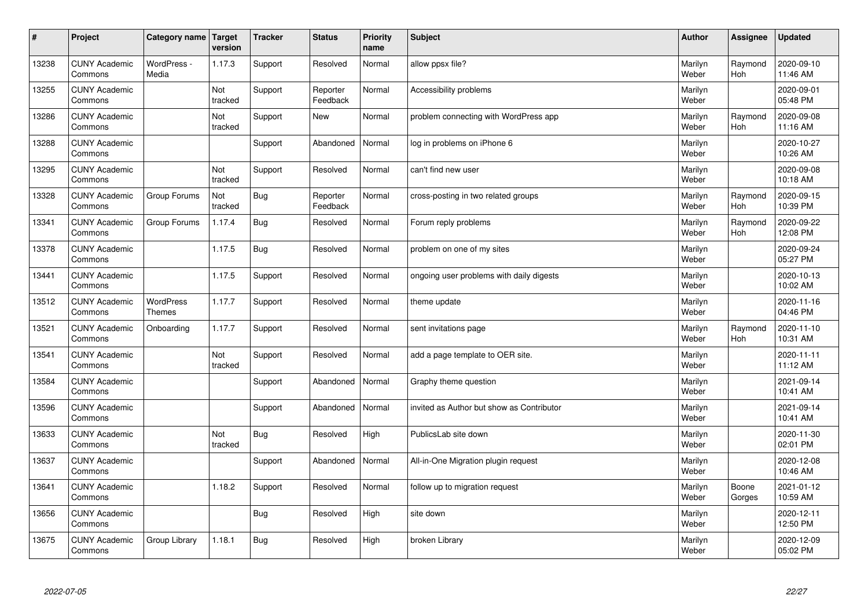| $\sharp$ | Project                         | Category name   Target     | version        | <b>Tracker</b> | <b>Status</b>        | <b>Priority</b><br>name | <b>Subject</b>                            | <b>Author</b>    | Assignee              | <b>Updated</b>         |
|----------|---------------------------------|----------------------------|----------------|----------------|----------------------|-------------------------|-------------------------------------------|------------------|-----------------------|------------------------|
| 13238    | <b>CUNY Academic</b><br>Commons | WordPress -<br>Media       | 1.17.3         | Support        | Resolved             | Normal                  | allow ppsx file?                          | Marilyn<br>Weber | Raymond<br><b>Hoh</b> | 2020-09-10<br>11:46 AM |
| 13255    | <b>CUNY Academic</b><br>Commons |                            | Not<br>tracked | Support        | Reporter<br>Feedback | Normal                  | Accessibility problems                    | Marilyn<br>Weber |                       | 2020-09-01<br>05:48 PM |
| 13286    | <b>CUNY Academic</b><br>Commons |                            | Not<br>tracked | Support        | <b>New</b>           | Normal                  | problem connecting with WordPress app     | Marilyn<br>Weber | Raymond<br><b>Hoh</b> | 2020-09-08<br>11:16 AM |
| 13288    | <b>CUNY Academic</b><br>Commons |                            |                | Support        | Abandoned            | Normal                  | log in problems on iPhone 6               | Marilyn<br>Weber |                       | 2020-10-27<br>10:26 AM |
| 13295    | <b>CUNY Academic</b><br>Commons |                            | Not<br>tracked | Support        | Resolved             | Normal                  | can't find new user                       | Marilyn<br>Weber |                       | 2020-09-08<br>10:18 AM |
| 13328    | <b>CUNY Academic</b><br>Commons | Group Forums               | Not<br>tracked | Bug            | Reporter<br>Feedback | Normal                  | cross-posting in two related groups       | Marilyn<br>Weber | Raymond<br>Hoh        | 2020-09-15<br>10:39 PM |
| 13341    | <b>CUNY Academic</b><br>Commons | Group Forums               | 1.17.4         | Bug            | Resolved             | Normal                  | Forum reply problems                      | Marilyn<br>Weber | Raymond<br>Hoh        | 2020-09-22<br>12:08 PM |
| 13378    | <b>CUNY Academic</b><br>Commons |                            | 1.17.5         | Bug            | Resolved             | Normal                  | problem on one of my sites                | Marilyn<br>Weber |                       | 2020-09-24<br>05:27 PM |
| 13441    | <b>CUNY Academic</b><br>Commons |                            | 1.17.5         | Support        | Resolved             | Normal                  | ongoing user problems with daily digests  | Marilyn<br>Weber |                       | 2020-10-13<br>10:02 AM |
| 13512    | <b>CUNY Academic</b><br>Commons | WordPress<br><b>Themes</b> | 1.17.7         | Support        | Resolved             | Normal                  | theme update                              | Marilyn<br>Weber |                       | 2020-11-16<br>04:46 PM |
| 13521    | <b>CUNY Academic</b><br>Commons | Onboarding                 | 1.17.7         | Support        | Resolved             | Normal                  | sent invitations page                     | Marilyn<br>Weber | Raymond<br>Hoh        | 2020-11-10<br>10:31 AM |
| 13541    | <b>CUNY Academic</b><br>Commons |                            | Not<br>tracked | Support        | Resolved             | Normal                  | add a page template to OER site.          | Marilyn<br>Weber |                       | 2020-11-11<br>11:12 AM |
| 13584    | <b>CUNY Academic</b><br>Commons |                            |                | Support        | Abandoned            | Normal                  | Graphy theme question                     | Marilyn<br>Weber |                       | 2021-09-14<br>10:41 AM |
| 13596    | <b>CUNY Academic</b><br>Commons |                            |                | Support        | Abandoned            | Normal                  | invited as Author but show as Contributor | Marilyn<br>Weber |                       | 2021-09-14<br>10:41 AM |
| 13633    | <b>CUNY Academic</b><br>Commons |                            | Not<br>tracked | Bug            | Resolved             | High                    | PublicsLab site down                      | Marilyn<br>Weber |                       | 2020-11-30<br>02:01 PM |
| 13637    | <b>CUNY Academic</b><br>Commons |                            |                | Support        | Abandoned            | Normal                  | All-in-One Migration plugin request       | Marilyn<br>Weber |                       | 2020-12-08<br>10:46 AM |
| 13641    | <b>CUNY Academic</b><br>Commons |                            | 1.18.2         | Support        | Resolved             | Normal                  | follow up to migration request            | Marilyn<br>Weber | Boone<br>Gorges       | 2021-01-12<br>10:59 AM |
| 13656    | <b>CUNY Academic</b><br>Commons |                            |                | Bug            | Resolved             | High                    | site down                                 | Marilyn<br>Weber |                       | 2020-12-11<br>12:50 PM |
| 13675    | <b>CUNY Academic</b><br>Commons | Group Library              | 1.18.1         | Bug            | Resolved             | High                    | broken Library                            | Marilyn<br>Weber |                       | 2020-12-09<br>05:02 PM |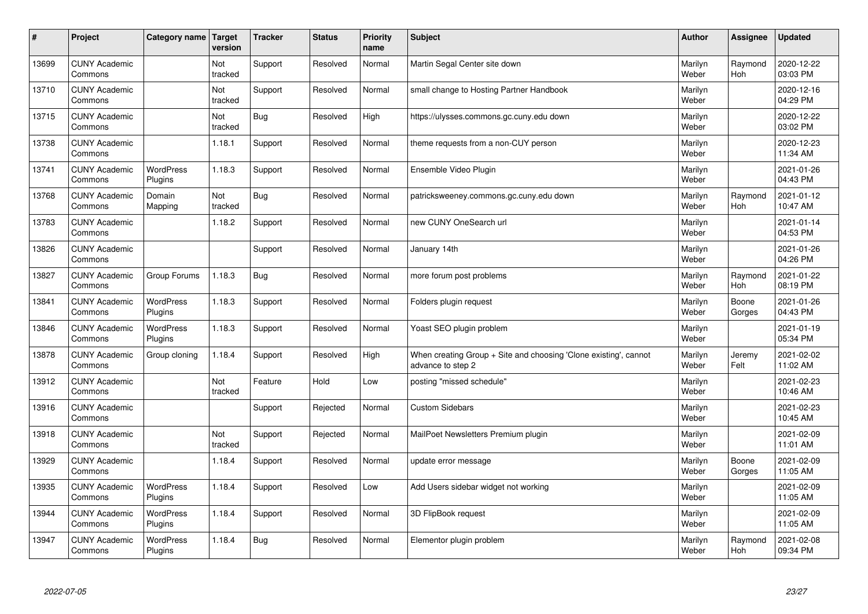| $\pmb{\#}$ | Project                         | Category name               | Target<br>version | <b>Tracker</b> | <b>Status</b> | <b>Priority</b><br>name | <b>Subject</b>                                                                        | <b>Author</b>    | Assignee        | <b>Updated</b>         |
|------------|---------------------------------|-----------------------------|-------------------|----------------|---------------|-------------------------|---------------------------------------------------------------------------------------|------------------|-----------------|------------------------|
| 13699      | <b>CUNY Academic</b><br>Commons |                             | Not<br>tracked    | Support        | Resolved      | Normal                  | Martin Segal Center site down                                                         | Marilyn<br>Weber | Raymond<br>Hoh  | 2020-12-22<br>03:03 PM |
| 13710      | <b>CUNY Academic</b><br>Commons |                             | Not<br>tracked    | Support        | Resolved      | Normal                  | small change to Hosting Partner Handbook                                              | Marilyn<br>Weber |                 | 2020-12-16<br>04:29 PM |
| 13715      | <b>CUNY Academic</b><br>Commons |                             | Not<br>tracked    | <b>Bug</b>     | Resolved      | High                    | https://ulysses.commons.gc.cuny.edu down                                              | Marilyn<br>Weber |                 | 2020-12-22<br>03:02 PM |
| 13738      | <b>CUNY Academic</b><br>Commons |                             | 1.18.1            | Support        | Resolved      | Normal                  | theme requests from a non-CUY person                                                  | Marilyn<br>Weber |                 | 2020-12-23<br>11:34 AM |
| 13741      | <b>CUNY Academic</b><br>Commons | <b>WordPress</b><br>Plugins | 1.18.3            | Support        | Resolved      | Normal                  | Ensemble Video Plugin                                                                 | Marilyn<br>Weber |                 | 2021-01-26<br>04:43 PM |
| 13768      | <b>CUNY Academic</b><br>Commons | Domain<br>Mapping           | Not<br>tracked    | <b>Bug</b>     | Resolved      | Normal                  | patricksweeney.commons.gc.cuny.edu down                                               | Marilyn<br>Weber | Raymond<br>Hoh  | 2021-01-12<br>10:47 AM |
| 13783      | <b>CUNY Academic</b><br>Commons |                             | 1.18.2            | Support        | Resolved      | Normal                  | new CUNY OneSearch url                                                                | Marilyn<br>Weber |                 | 2021-01-14<br>04:53 PM |
| 13826      | <b>CUNY Academic</b><br>Commons |                             |                   | Support        | Resolved      | Normal                  | January 14th                                                                          | Marilyn<br>Weber |                 | 2021-01-26<br>04:26 PM |
| 13827      | <b>CUNY Academic</b><br>Commons | Group Forums                | 1.18.3            | Bug            | Resolved      | Normal                  | more forum post problems                                                              | Marilyn<br>Weber | Raymond<br>Hoh  | 2021-01-22<br>08:19 PM |
| 13841      | <b>CUNY Academic</b><br>Commons | WordPress<br>Plugins        | 1.18.3            | Support        | Resolved      | Normal                  | Folders plugin request                                                                | Marilyn<br>Weber | Boone<br>Gorges | 2021-01-26<br>04:43 PM |
| 13846      | <b>CUNY Academic</b><br>Commons | WordPress<br>Plugins        | 1.18.3            | Support        | Resolved      | Normal                  | Yoast SEO plugin problem                                                              | Marilyn<br>Weber |                 | 2021-01-19<br>05:34 PM |
| 13878      | <b>CUNY Academic</b><br>Commons | Group cloning               | 1.18.4            | Support        | Resolved      | High                    | When creating Group + Site and choosing 'Clone existing', cannot<br>advance to step 2 | Marilyn<br>Weber | Jeremy<br>Felt  | 2021-02-02<br>11:02 AM |
| 13912      | <b>CUNY Academic</b><br>Commons |                             | Not<br>tracked    | Feature        | Hold          | Low                     | posting "missed schedule"                                                             | Marilyn<br>Weber |                 | 2021-02-23<br>10:46 AM |
| 13916      | <b>CUNY Academic</b><br>Commons |                             |                   | Support        | Rejected      | Normal                  | <b>Custom Sidebars</b>                                                                | Marilyn<br>Weber |                 | 2021-02-23<br>10:45 AM |
| 13918      | <b>CUNY Academic</b><br>Commons |                             | Not<br>tracked    | Support        | Rejected      | Normal                  | MailPoet Newsletters Premium plugin                                                   | Marilyn<br>Weber |                 | 2021-02-09<br>11:01 AM |
| 13929      | <b>CUNY Academic</b><br>Commons |                             | 1.18.4            | Support        | Resolved      | Normal                  | update error message                                                                  | Marilyn<br>Weber | Boone<br>Gorges | 2021-02-09<br>11:05 AM |
| 13935      | <b>CUNY Academic</b><br>Commons | WordPress<br>Plugins        | 1.18.4            | Support        | Resolved      | Low                     | Add Users sidebar widget not working                                                  | Marilyn<br>Weber |                 | 2021-02-09<br>11:05 AM |
| 13944      | <b>CUNY Academic</b><br>Commons | WordPress<br>Plugins        | 1.18.4            | Support        | Resolved      | Normal                  | 3D FlipBook request                                                                   | Marilyn<br>Weber |                 | 2021-02-09<br>11:05 AM |
| 13947      | <b>CUNY Academic</b><br>Commons | <b>WordPress</b><br>Plugins | 1.18.4            | Bug            | Resolved      | Normal                  | Elementor plugin problem                                                              | Marilyn<br>Weber | Raymond<br>Hoh  | 2021-02-08<br>09:34 PM |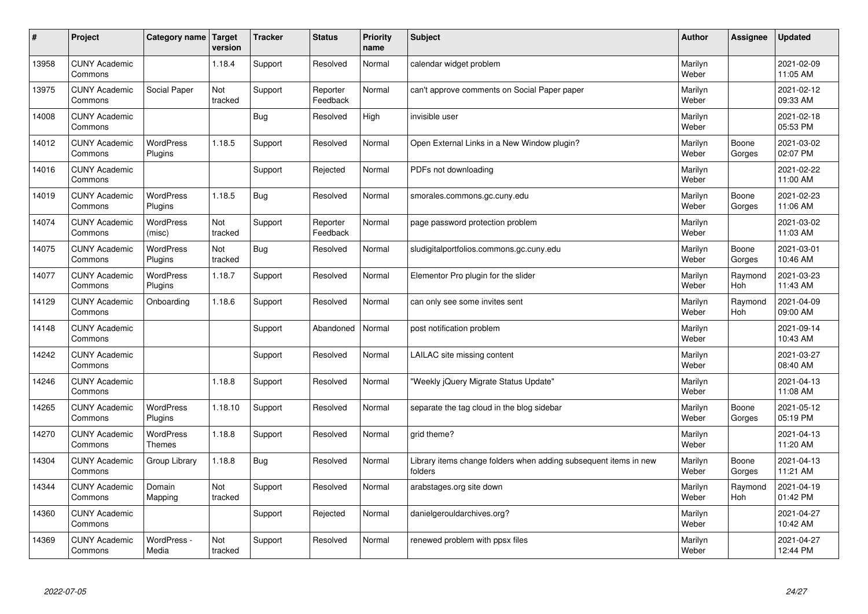| $\sharp$ | Project                         | Category name   Target             | version        | <b>Tracker</b> | <b>Status</b>        | <b>Priority</b><br>name | <b>Subject</b>                                                              | <b>Author</b>    | Assignee              | <b>Updated</b>         |
|----------|---------------------------------|------------------------------------|----------------|----------------|----------------------|-------------------------|-----------------------------------------------------------------------------|------------------|-----------------------|------------------------|
| 13958    | <b>CUNY Academic</b><br>Commons |                                    | 1.18.4         | Support        | Resolved             | Normal                  | calendar widget problem                                                     | Marilyn<br>Weber |                       | 2021-02-09<br>11:05 AM |
| 13975    | <b>CUNY Academic</b><br>Commons | Social Paper                       | Not<br>tracked | Support        | Reporter<br>Feedback | Normal                  | can't approve comments on Social Paper paper                                | Marilyn<br>Weber |                       | 2021-02-12<br>09:33 AM |
| 14008    | <b>CUNY Academic</b><br>Commons |                                    |                | <b>Bug</b>     | Resolved             | High                    | invisible user                                                              | Marilyn<br>Weber |                       | 2021-02-18<br>05:53 PM |
| 14012    | <b>CUNY Academic</b><br>Commons | <b>WordPress</b><br>Plugins        | 1.18.5         | Support        | Resolved             | Normal                  | Open External Links in a New Window plugin?                                 | Marilyn<br>Weber | Boone<br>Gorges       | 2021-03-02<br>02:07 PM |
| 14016    | <b>CUNY Academic</b><br>Commons |                                    |                | Support        | Rejected             | Normal                  | PDFs not downloading                                                        | Marilyn<br>Weber |                       | 2021-02-22<br>11:00 AM |
| 14019    | <b>CUNY Academic</b><br>Commons | <b>WordPress</b><br><b>Plugins</b> | 1.18.5         | <b>Bug</b>     | Resolved             | Normal                  | smorales.commons.gc.cuny.edu                                                | Marilyn<br>Weber | Boone<br>Gorges       | 2021-02-23<br>11:06 AM |
| 14074    | <b>CUNY Academic</b><br>Commons | <b>WordPress</b><br>(misc)         | Not<br>tracked | Support        | Reporter<br>Feedback | Normal                  | page password protection problem                                            | Marilyn<br>Weber |                       | 2021-03-02<br>11:03 AM |
| 14075    | <b>CUNY Academic</b><br>Commons | WordPress<br>Plugins               | Not<br>tracked | Bug            | Resolved             | Normal                  | sludigitalportfolios.commons.gc.cuny.edu                                    | Marilyn<br>Weber | Boone<br>Gorges       | 2021-03-01<br>10:46 AM |
| 14077    | <b>CUNY Academic</b><br>Commons | WordPress<br>Plugins               | 1.18.7         | Support        | Resolved             | Normal                  | Elementor Pro plugin for the slider                                         | Marilyn<br>Weber | Raymond<br>Hoh        | 2021-03-23<br>11:43 AM |
| 14129    | <b>CUNY Academic</b><br>Commons | Onboarding                         | 1.18.6         | Support        | Resolved             | Normal                  | can only see some invites sent                                              | Marilyn<br>Weber | Raymond<br><b>Hoh</b> | 2021-04-09<br>09:00 AM |
| 14148    | <b>CUNY Academic</b><br>Commons |                                    |                | Support        | Abandoned            | Normal                  | post notification problem                                                   | Marilyn<br>Weber |                       | 2021-09-14<br>10:43 AM |
| 14242    | <b>CUNY Academic</b><br>Commons |                                    |                | Support        | Resolved             | Normal                  | LAILAC site missing content                                                 | Marilyn<br>Weber |                       | 2021-03-27<br>08:40 AM |
| 14246    | <b>CUNY Academic</b><br>Commons |                                    | 1.18.8         | Support        | Resolved             | Normal                  | 'Weekly jQuery Migrate Status Update"                                       | Marilyn<br>Weber |                       | 2021-04-13<br>11:08 AM |
| 14265    | <b>CUNY Academic</b><br>Commons | WordPress<br>Plugins               | 1.18.10        | Support        | Resolved             | Normal                  | separate the tag cloud in the blog sidebar                                  | Marilyn<br>Weber | Boone<br>Gorges       | 2021-05-12<br>05:19 PM |
| 14270    | <b>CUNY Academic</b><br>Commons | WordPress<br><b>Themes</b>         | 1.18.8         | Support        | Resolved             | Normal                  | grid theme?                                                                 | Marilyn<br>Weber |                       | 2021-04-13<br>11:20 AM |
| 14304    | <b>CUNY Academic</b><br>Commons | Group Library                      | 1.18.8         | Bug            | Resolved             | Normal                  | Library items change folders when adding subsequent items in new<br>folders | Marilyn<br>Weber | Boone<br>Gorges       | 2021-04-13<br>11:21 AM |
| 14344    | <b>CUNY Academic</b><br>Commons | Domain<br>Mapping                  | Not<br>tracked | Support        | Resolved             | Normal                  | arabstages.org site down                                                    | Marilyn<br>Weber | Raymond<br><b>Hoh</b> | 2021-04-19<br>01:42 PM |
| 14360    | <b>CUNY Academic</b><br>Commons |                                    |                | Support        | Rejected             | Normal                  | danielgerouldarchives.org?                                                  | Marilyn<br>Weber |                       | 2021-04-27<br>10:42 AM |
| 14369    | <b>CUNY Academic</b><br>Commons | WordPress -<br>Media               | Not<br>tracked | Support        | Resolved             | Normal                  | renewed problem with ppsx files                                             | Marilyn<br>Weber |                       | 2021-04-27<br>12:44 PM |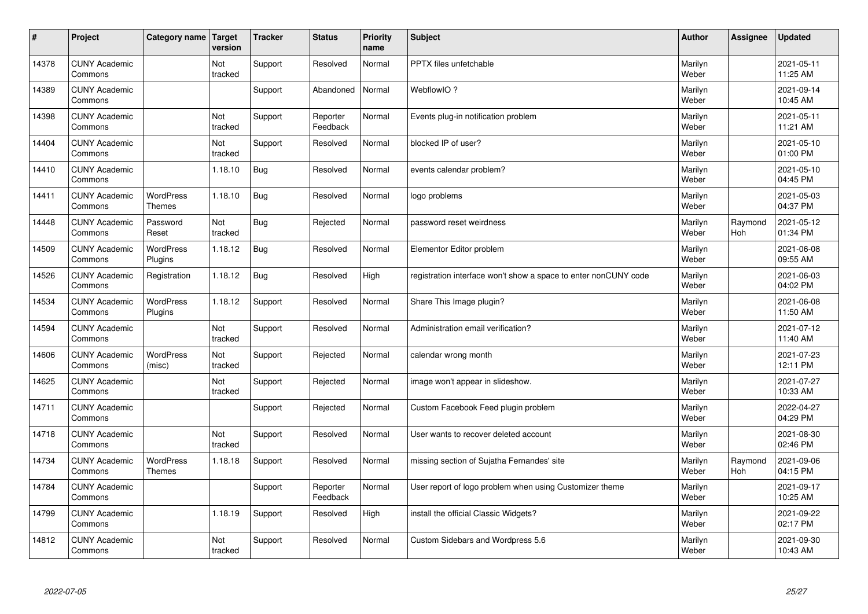| #     | Project                         | Category name   Target            | version        | <b>Tracker</b> | <b>Status</b>        | <b>Priority</b><br>name | <b>Subject</b>                                                  | <b>Author</b>    | Assignee       | <b>Updated</b>         |
|-------|---------------------------------|-----------------------------------|----------------|----------------|----------------------|-------------------------|-----------------------------------------------------------------|------------------|----------------|------------------------|
| 14378 | <b>CUNY Academic</b><br>Commons |                                   | Not<br>tracked | Support        | Resolved             | Normal                  | <b>PPTX</b> files unfetchable                                   | Marilyn<br>Weber |                | 2021-05-11<br>11:25 AM |
| 14389 | <b>CUNY Academic</b><br>Commons |                                   |                | Support        | Abandoned            | Normal                  | WebflowIO?                                                      | Marilyn<br>Weber |                | 2021-09-14<br>10:45 AM |
| 14398 | <b>CUNY Academic</b><br>Commons |                                   | Not<br>tracked | Support        | Reporter<br>Feedback | Normal                  | Events plug-in notification problem                             | Marilyn<br>Weber |                | 2021-05-11<br>11:21 AM |
| 14404 | <b>CUNY Academic</b><br>Commons |                                   | Not<br>tracked | Support        | Resolved             | Normal                  | blocked IP of user?                                             | Marilyn<br>Weber |                | 2021-05-10<br>01:00 PM |
| 14410 | <b>CUNY Academic</b><br>Commons |                                   | 1.18.10        | Bug            | Resolved             | Normal                  | events calendar problem?                                        | Marilyn<br>Weber |                | 2021-05-10<br>04:45 PM |
| 14411 | <b>CUNY Academic</b><br>Commons | <b>WordPress</b><br><b>Themes</b> | 1.18.10        | <b>Bug</b>     | Resolved             | Normal                  | logo problems                                                   | Marilyn<br>Weber |                | 2021-05-03<br>04:37 PM |
| 14448 | <b>CUNY Academic</b><br>Commons | Password<br>Reset                 | Not<br>tracked | <b>Bug</b>     | Rejected             | Normal                  | password reset weirdness                                        | Marilyn<br>Weber | Raymond<br>Hoh | 2021-05-12<br>01:34 PM |
| 14509 | <b>CUNY Academic</b><br>Commons | WordPress<br>Plugins              | 1.18.12        | <b>Bug</b>     | Resolved             | Normal                  | Elementor Editor problem                                        | Marilyn<br>Weber |                | 2021-06-08<br>09:55 AM |
| 14526 | <b>CUNY Academic</b><br>Commons | Registration                      | 1.18.12        | Bug            | Resolved             | High                    | registration interface won't show a space to enter nonCUNY code | Marilyn<br>Weber |                | 2021-06-03<br>04:02 PM |
| 14534 | <b>CUNY Academic</b><br>Commons | WordPress<br>Plugins              | 1.18.12        | Support        | Resolved             | Normal                  | Share This Image plugin?                                        | Marilyn<br>Weber |                | 2021-06-08<br>11:50 AM |
| 14594 | <b>CUNY Academic</b><br>Commons |                                   | Not<br>tracked | Support        | Resolved             | Normal                  | Administration email verification?                              | Marilyn<br>Weber |                | 2021-07-12<br>11:40 AM |
| 14606 | <b>CUNY Academic</b><br>Commons | WordPress<br>(misc)               | Not<br>tracked | Support        | Rejected             | Normal                  | calendar wrong month                                            | Marilyn<br>Weber |                | 2021-07-23<br>12:11 PM |
| 14625 | <b>CUNY Academic</b><br>Commons |                                   | Not<br>tracked | Support        | Rejected             | Normal                  | image won't appear in slideshow.                                | Marilyn<br>Weber |                | 2021-07-27<br>10:33 AM |
| 14711 | <b>CUNY Academic</b><br>Commons |                                   |                | Support        | Rejected             | Normal                  | Custom Facebook Feed plugin problem                             | Marilyn<br>Weber |                | 2022-04-27<br>04:29 PM |
| 14718 | <b>CUNY Academic</b><br>Commons |                                   | Not<br>tracked | Support        | Resolved             | Normal                  | User wants to recover deleted account                           | Marilyn<br>Weber |                | 2021-08-30<br>02:46 PM |
| 14734 | <b>CUNY Academic</b><br>Commons | <b>WordPress</b><br><b>Themes</b> | 1.18.18        | Support        | Resolved             | Normal                  | missing section of Sujatha Fernandes' site                      | Marilyn<br>Weber | Raymond<br>Hoh | 2021-09-06<br>04:15 PM |
| 14784 | <b>CUNY Academic</b><br>Commons |                                   |                | Support        | Reporter<br>Feedback | Normal                  | User report of logo problem when using Customizer theme         | Marilyn<br>Weber |                | 2021-09-17<br>10:25 AM |
| 14799 | <b>CUNY Academic</b><br>Commons |                                   | 1.18.19        | Support        | Resolved             | High                    | install the official Classic Widgets?                           | Marilyn<br>Weber |                | 2021-09-22<br>02:17 PM |
| 14812 | <b>CUNY Academic</b><br>Commons |                                   | Not<br>tracked | Support        | Resolved             | Normal                  | Custom Sidebars and Wordpress 5.6                               | Marilyn<br>Weber |                | 2021-09-30<br>10:43 AM |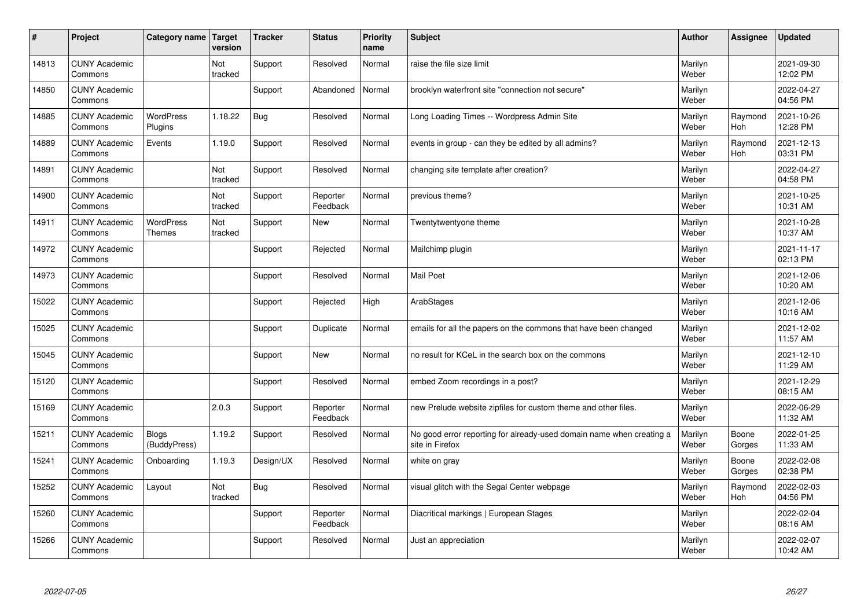| $\sharp$ | Project                         | Category name   Target            | version        | <b>Tracker</b> | <b>Status</b>        | <b>Priority</b><br>name | <b>Subject</b>                                                                          | <b>Author</b>    | Assignee              | <b>Updated</b>         |
|----------|---------------------------------|-----------------------------------|----------------|----------------|----------------------|-------------------------|-----------------------------------------------------------------------------------------|------------------|-----------------------|------------------------|
| 14813    | <b>CUNY Academic</b><br>Commons |                                   | Not<br>tracked | Support        | Resolved             | Normal                  | raise the file size limit                                                               | Marilyn<br>Weber |                       | 2021-09-30<br>12:02 PM |
| 14850    | <b>CUNY Academic</b><br>Commons |                                   |                | Support        | Abandoned            | Normal                  | brooklyn waterfront site "connection not secure"                                        | Marilyn<br>Weber |                       | 2022-04-27<br>04:56 PM |
| 14885    | <b>CUNY Academic</b><br>Commons | <b>WordPress</b><br>Plugins       | 1.18.22        | Bug            | Resolved             | Normal                  | Long Loading Times -- Wordpress Admin Site                                              | Marilyn<br>Weber | Raymond<br>Hoh        | 2021-10-26<br>12:28 PM |
| 14889    | <b>CUNY Academic</b><br>Commons | Events                            | 1.19.0         | Support        | Resolved             | Normal                  | events in group - can they be edited by all admins?                                     | Marilyn<br>Weber | Raymond<br>Hoh        | 2021-12-13<br>03:31 PM |
| 14891    | <b>CUNY Academic</b><br>Commons |                                   | Not<br>tracked | Support        | Resolved             | Normal                  | changing site template after creation?                                                  | Marilyn<br>Weber |                       | 2022-04-27<br>04:58 PM |
| 14900    | <b>CUNY Academic</b><br>Commons |                                   | Not<br>tracked | Support        | Reporter<br>Feedback | Normal                  | previous theme?                                                                         | Marilyn<br>Weber |                       | 2021-10-25<br>10:31 AM |
| 14911    | <b>CUNY Academic</b><br>Commons | <b>WordPress</b><br><b>Themes</b> | Not<br>tracked | Support        | <b>New</b>           | Normal                  | Twentytwentyone theme                                                                   | Marilyn<br>Weber |                       | 2021-10-28<br>10:37 AM |
| 14972    | <b>CUNY Academic</b><br>Commons |                                   |                | Support        | Rejected             | Normal                  | Mailchimp plugin                                                                        | Marilyn<br>Weber |                       | 2021-11-17<br>02:13 PM |
| 14973    | <b>CUNY Academic</b><br>Commons |                                   |                | Support        | Resolved             | Normal                  | <b>Mail Poet</b>                                                                        | Marilyn<br>Weber |                       | 2021-12-06<br>10:20 AM |
| 15022    | <b>CUNY Academic</b><br>Commons |                                   |                | Support        | Rejected             | High                    | ArabStages                                                                              | Marilyn<br>Weber |                       | 2021-12-06<br>10:16 AM |
| 15025    | <b>CUNY Academic</b><br>Commons |                                   |                | Support        | Duplicate            | Normal                  | emails for all the papers on the commons that have been changed                         | Marilyn<br>Weber |                       | 2021-12-02<br>11:57 AM |
| 15045    | <b>CUNY Academic</b><br>Commons |                                   |                | Support        | New                  | Normal                  | no result for KCeL in the search box on the commons                                     | Marilyn<br>Weber |                       | 2021-12-10<br>11:29 AM |
| 15120    | <b>CUNY Academic</b><br>Commons |                                   |                | Support        | Resolved             | Normal                  | embed Zoom recordings in a post?                                                        | Marilyn<br>Weber |                       | 2021-12-29<br>08:15 AM |
| 15169    | <b>CUNY Academic</b><br>Commons |                                   | 2.0.3          | Support        | Reporter<br>Feedback | Normal                  | new Prelude website zipfiles for custom theme and other files.                          | Marilyn<br>Weber |                       | 2022-06-29<br>11:32 AM |
| 15211    | <b>CUNY Academic</b><br>Commons | <b>Blogs</b><br>(BuddyPress)      | 1.19.2         | Support        | Resolved             | Normal                  | No good error reporting for already-used domain name when creating a<br>site in Firefox | Marilyn<br>Weber | Boone<br>Gorges       | 2022-01-25<br>11:33 AM |
| 15241    | <b>CUNY Academic</b><br>Commons | Onboarding                        | 1.19.3         | Design/UX      | Resolved             | Normal                  | white on gray                                                                           | Marilyn<br>Weber | Boone<br>Gorges       | 2022-02-08<br>02:38 PM |
| 15252    | <b>CUNY Academic</b><br>Commons | Layout                            | Not<br>tracked | Bug            | Resolved             | Normal                  | visual glitch with the Segal Center webpage                                             | Marilyn<br>Weber | Raymond<br><b>Hoh</b> | 2022-02-03<br>04:56 PM |
| 15260    | <b>CUNY Academic</b><br>Commons |                                   |                | Support        | Reporter<br>Feedback | Normal                  | Diacritical markings   European Stages                                                  | Marilyn<br>Weber |                       | 2022-02-04<br>08:16 AM |
| 15266    | <b>CUNY Academic</b><br>Commons |                                   |                | Support        | Resolved             | Normal                  | Just an appreciation                                                                    | Marilyn<br>Weber |                       | 2022-02-07<br>10:42 AM |